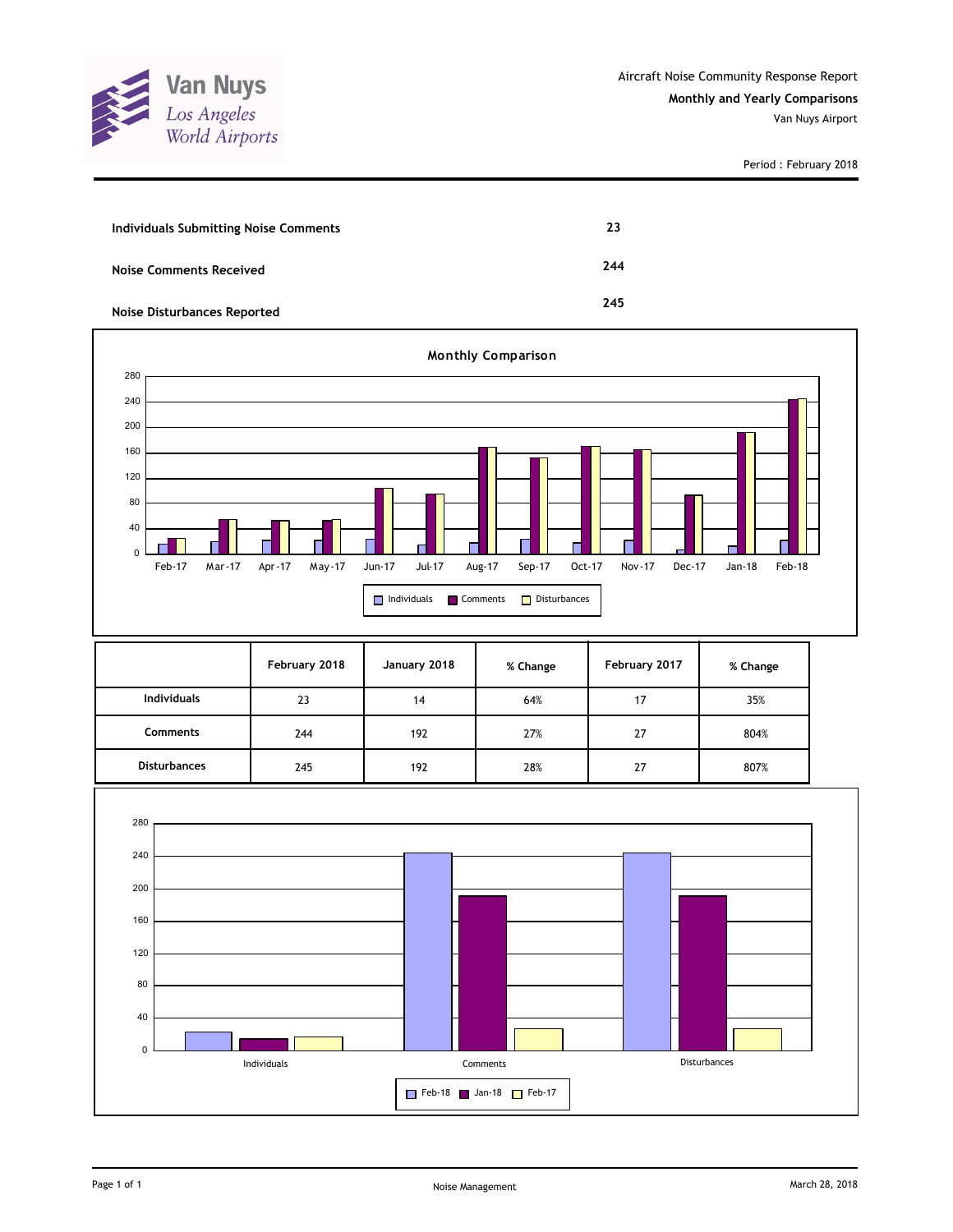

| <b>Individuals Submitting Noise Comments</b> | 23  |
|----------------------------------------------|-----|
| <b>Noise Comments Received</b>               | 244 |
| <b>Noise Disturbances Reported</b>           | 245 |



|                     | February 2018 | January 2018 | % Change | February 2017 | % Change |
|---------------------|---------------|--------------|----------|---------------|----------|
| <b>Individuals</b>  | 23            | 14           | 64%      | 17            | 35%      |
| <b>Comments</b>     | 244           | 192          | 27%      | 27            | 804%     |
| <b>Disturbances</b> | 245           | 192          | 28%      | 27            | 807%     |

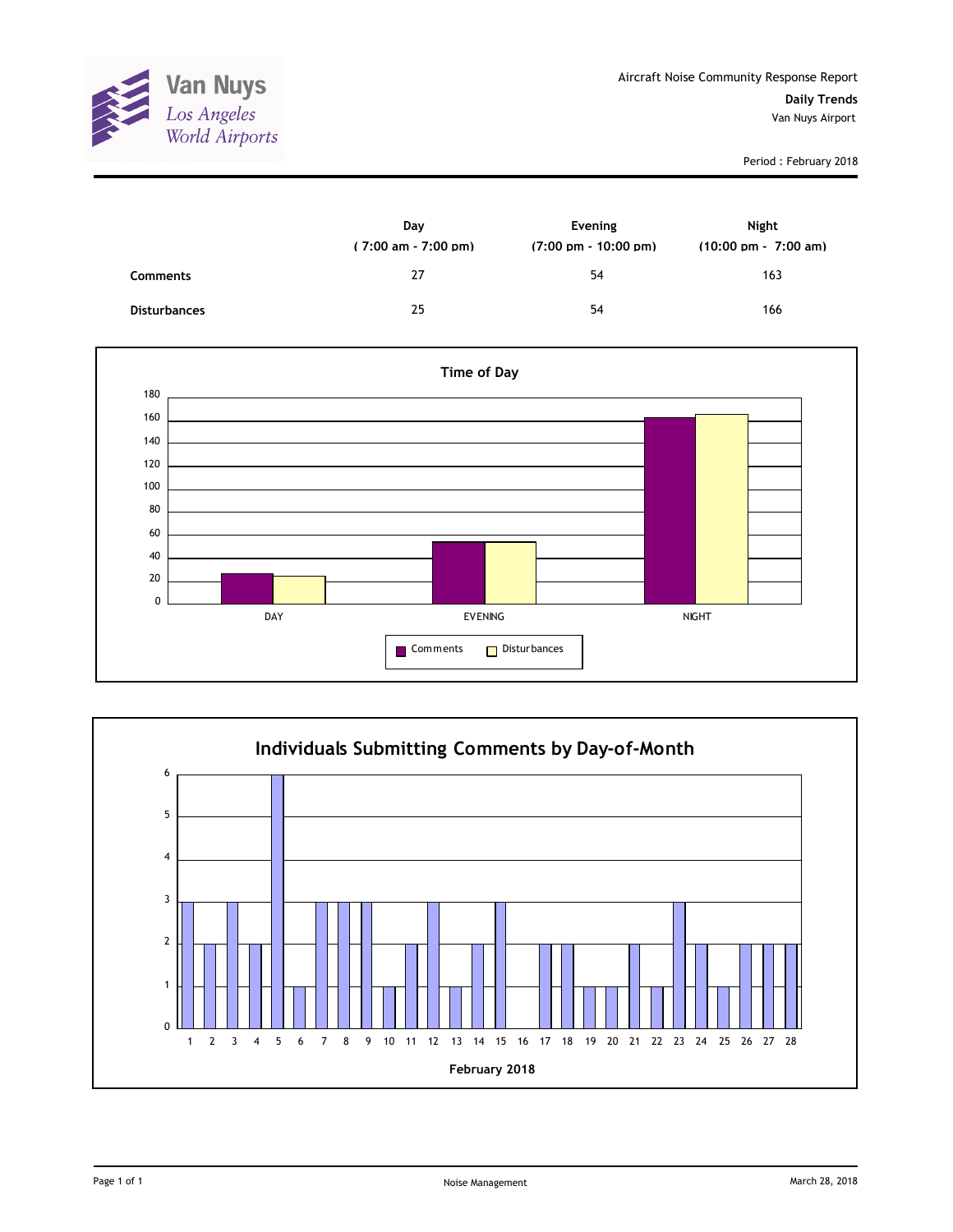

|                     | Day<br>$(7:00 \text{ am} - 7:00 \text{ pm})$ | Evening<br>$(7:00 \text{ pm} - 10:00 \text{ pm})$ | Night<br>$(10:00 \text{ pm} - 7:00 \text{ am})$ |
|---------------------|----------------------------------------------|---------------------------------------------------|-------------------------------------------------|
| <b>Comments</b>     | 27                                           | 54                                                | 163                                             |
| <b>Disturbances</b> | 25                                           | 54                                                | 166                                             |



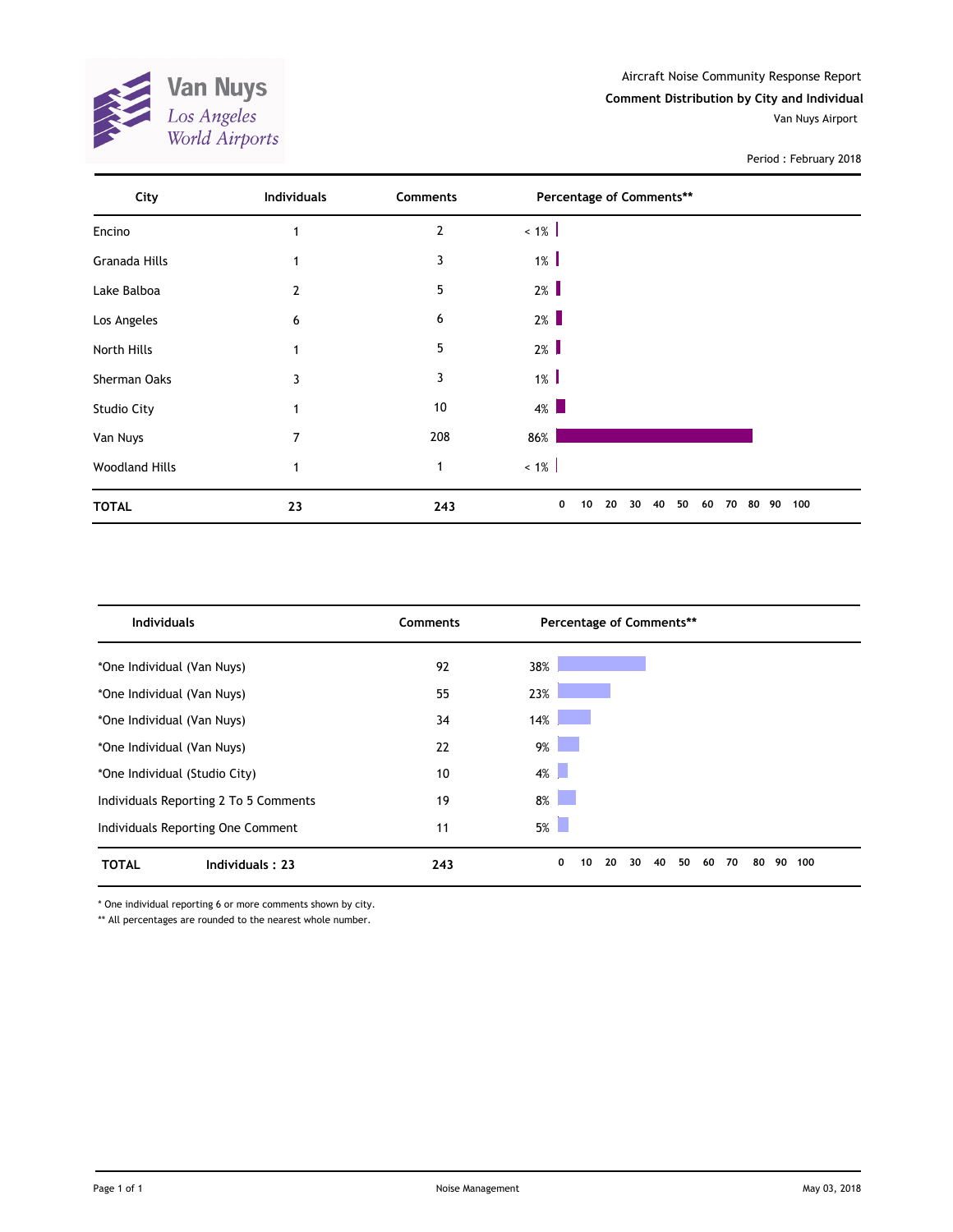

| City                  | Individuals    | Comments       | Percentage of Comments**                          |           |
|-----------------------|----------------|----------------|---------------------------------------------------|-----------|
| Encino                | 1              | $\overline{2}$ | $< 1\%$                                           |           |
| Granada Hills         |                | 3              | $1\%$                                             |           |
| Lake Balboa           | 2              | 5              | $2\%$                                             |           |
| Los Angeles           | 6              | 6              | $2\%$                                             |           |
| North Hills           |                | 5              | $2\%$                                             |           |
| Sherman Oaks          | 3              | 3              | $1\%$                                             |           |
| <b>Studio City</b>    | 1              | 10             | $4\%$                                             |           |
| Van Nuys              | $\overline{7}$ | 208            | 86%                                               |           |
| <b>Woodland Hills</b> |                | $\mathbf{1}$   | $< 1\%$                                           |           |
| <b>TOTAL</b>          | 23             | 243            | 0<br>20<br>50<br>30<br>40<br>10<br>60<br>70<br>80 | 100<br>90 |

| <b>Individuals</b>                    | <b>Comments</b> | Percentage of Comments**                          |           |  |  |  |
|---------------------------------------|-----------------|---------------------------------------------------|-----------|--|--|--|
| *One Individual (Van Nuys)            | 92              | 38%                                               |           |  |  |  |
| *One Individual (Van Nuys)            | 55              | 23%                                               |           |  |  |  |
| *One Individual (Van Nuys)            | 34              | 14%                                               |           |  |  |  |
| *One Individual (Van Nuys)            | 22              | $9\%$                                             |           |  |  |  |
| *One Individual (Studio City)         | 10              | $4\%$                                             |           |  |  |  |
| Individuals Reporting 2 To 5 Comments | 19              | 8%                                                |           |  |  |  |
| Individuals Reporting One Comment     | 11              | 5%                                                |           |  |  |  |
| <b>TOTAL</b><br>Individuals: 23       | 243             | 0<br>10<br>20<br>30<br>50<br>80<br>40<br>60<br>70 | 100<br>90 |  |  |  |

\* One individual reporting 6 or more comments shown by city.

\*\* All percentages are rounded to the nearest whole number.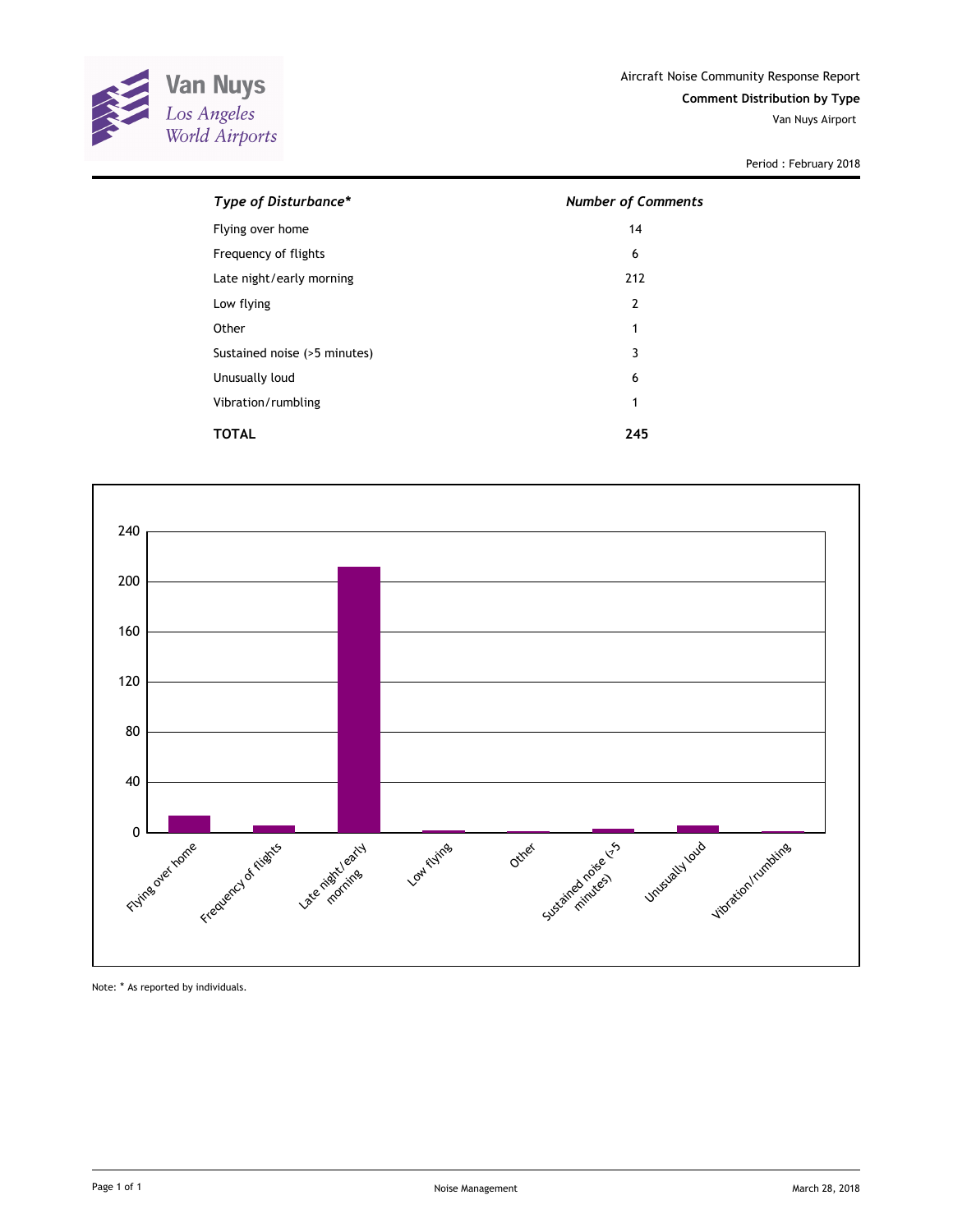

| Type of Disturbance*         | <b>Number of Comments</b> |  |  |
|------------------------------|---------------------------|--|--|
| Flying over home             | 14                        |  |  |
| Frequency of flights         | 6                         |  |  |
| Late night/early morning     | 212                       |  |  |
| Low flying                   | $\overline{2}$            |  |  |
| Other                        | 1                         |  |  |
| Sustained noise (>5 minutes) | 3                         |  |  |
| Unusually loud               | 6                         |  |  |
| Vibration/rumbling           | 1                         |  |  |
| TOTAL                        | 245                       |  |  |



Note: \* As reported by individuals.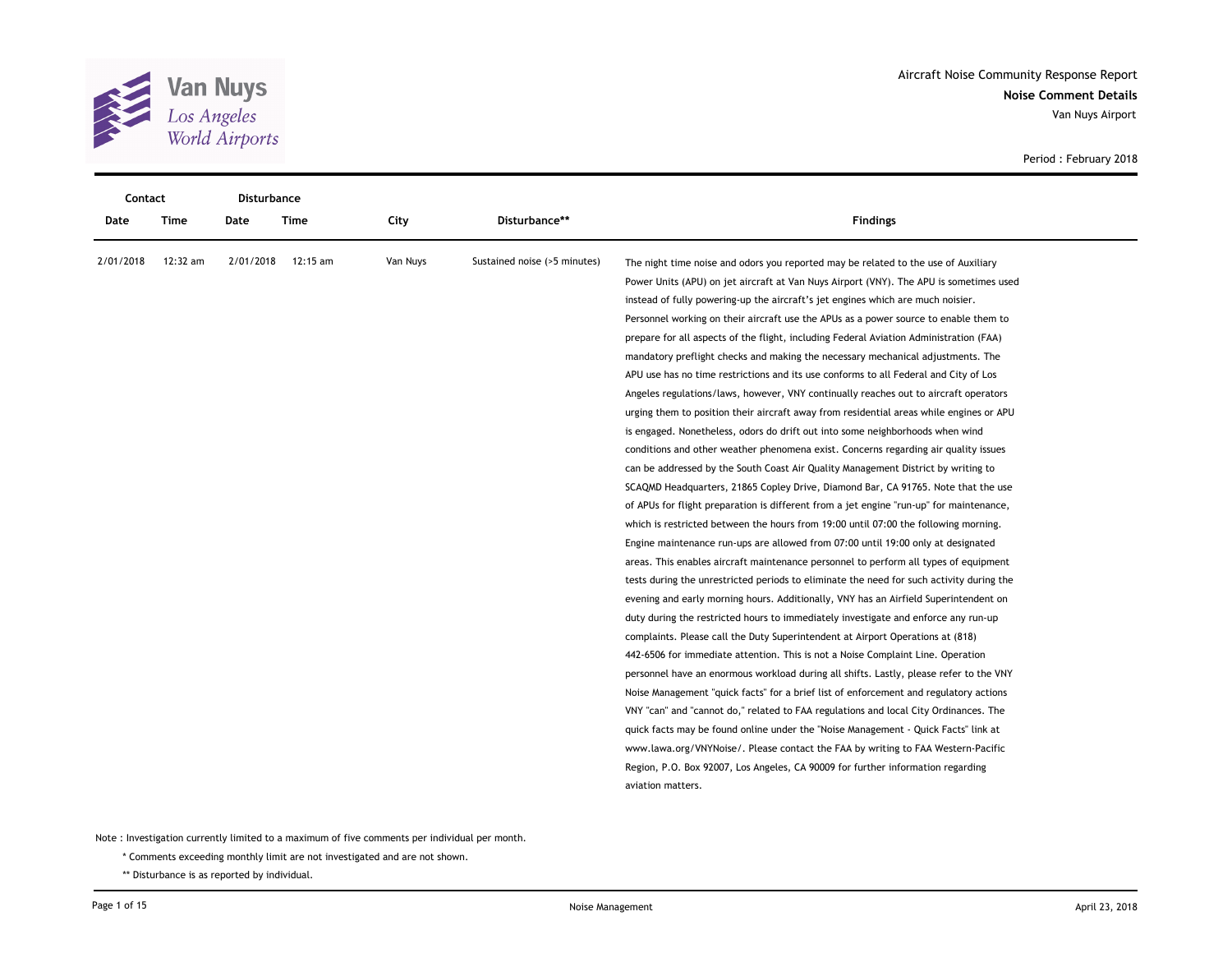

| Contact   |          | <b>Disturbance</b> |          |          |                              |                                                                                          |  |
|-----------|----------|--------------------|----------|----------|------------------------------|------------------------------------------------------------------------------------------|--|
| Date      | Time     | Date               | Time     | City     | Disturbance**                | <b>Findings</b>                                                                          |  |
| 2/01/2018 | 12:32 am | 2/01/2018          | 12:15 am | Van Nuys | Sustained noise (>5 minutes) | The night time noise and odors you reported may be related to the use of Auxiliary       |  |
|           |          |                    |          |          |                              | Power Units (APU) on jet aircraft at Van Nuys Airport (VNY). The APU is sometimes used   |  |
|           |          |                    |          |          |                              | instead of fully powering-up the aircraft's jet engines which are much noisier.          |  |
|           |          |                    |          |          |                              | Personnel working on their aircraft use the APUs as a power source to enable them to     |  |
|           |          |                    |          |          |                              | prepare for all aspects of the flight, including Federal Aviation Administration (FAA)   |  |
|           |          |                    |          |          |                              | mandatory preflight checks and making the necessary mechanical adjustments. The          |  |
|           |          |                    |          |          |                              | APU use has no time restrictions and its use conforms to all Federal and City of Los     |  |
|           |          |                    |          |          |                              | Angeles regulations/laws, however, VNY continually reaches out to aircraft operators     |  |
|           |          |                    |          |          |                              | urging them to position their aircraft away from residential areas while engines or APU  |  |
|           |          |                    |          |          |                              | is engaged. Nonetheless, odors do drift out into some neighborhoods when wind            |  |
|           |          |                    |          |          |                              | conditions and other weather phenomena exist. Concerns regarding air quality issues      |  |
|           |          |                    |          |          |                              | can be addressed by the South Coast Air Quality Management District by writing to        |  |
|           |          |                    |          |          |                              | SCAQMD Headquarters, 21865 Copley Drive, Diamond Bar, CA 91765. Note that the use        |  |
|           |          |                    |          |          |                              | of APUs for flight preparation is different from a jet engine "run-up" for maintenance,  |  |
|           |          |                    |          |          |                              | which is restricted between the hours from 19:00 until 07:00 the following morning.      |  |
|           |          |                    |          |          |                              | Engine maintenance run-ups are allowed from 07:00 until 19:00 only at designated         |  |
|           |          |                    |          |          |                              | areas. This enables aircraft maintenance personnel to perform all types of equipment     |  |
|           |          |                    |          |          |                              | tests during the unrestricted periods to eliminate the need for such activity during the |  |
|           |          |                    |          |          |                              | evening and early morning hours. Additionally, VNY has an Airfield Superintendent on     |  |
|           |          |                    |          |          |                              | duty during the restricted hours to immediately investigate and enforce any run-up       |  |
|           |          |                    |          |          |                              | complaints. Please call the Duty Superintendent at Airport Operations at (818)           |  |
|           |          |                    |          |          |                              | 442-6506 for immediate attention. This is not a Noise Complaint Line. Operation          |  |
|           |          |                    |          |          |                              | personnel have an enormous workload during all shifts. Lastly, please refer to the VNY   |  |
|           |          |                    |          |          |                              | Noise Management "quick facts" for a brief list of enforcement and regulatory actions    |  |
|           |          |                    |          |          |                              | VNY "can" and "cannot do," related to FAA regulations and local City Ordinances. The     |  |
|           |          |                    |          |          |                              | quick facts may be found online under the "Noise Management - Quick Facts" link at       |  |
|           |          |                    |          |          |                              | www.lawa.org/VNYNoise/. Please contact the FAA by writing to FAA Western-Pacific         |  |
|           |          |                    |          |          |                              | Region, P.O. Box 92007, Los Angeles, CA 90009 for further information regarding          |  |
|           |          |                    |          |          |                              | aviation matters.                                                                        |  |

\* Comments exceeding monthly limit are not investigated and are not shown.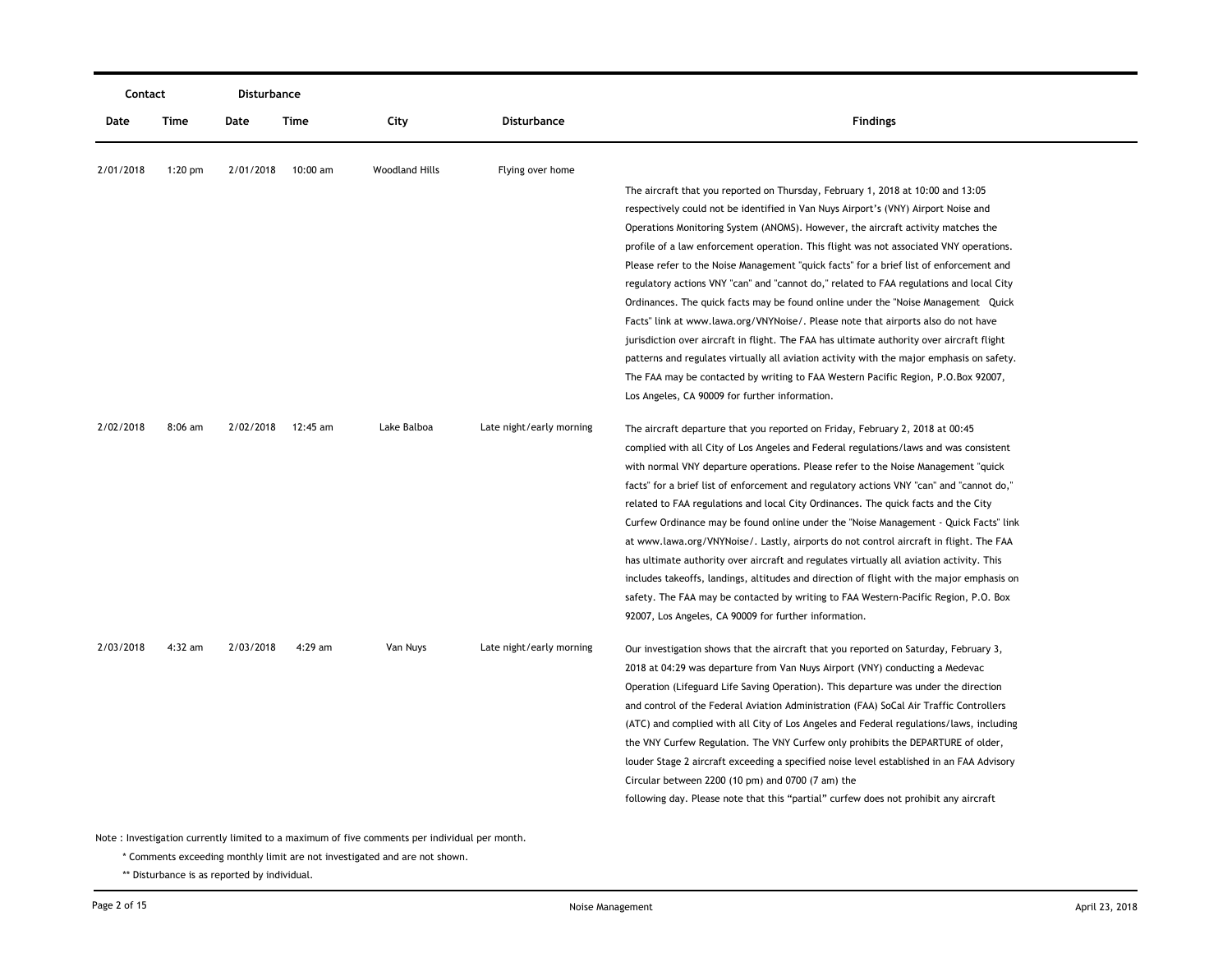| Contact   |             | Disturbance |             |                       |                          |                                                                                           |
|-----------|-------------|-------------|-------------|-----------------------|--------------------------|-------------------------------------------------------------------------------------------|
| Date      | <b>Time</b> | Date        | <b>Time</b> | City                  | <b>Disturbance</b>       | <b>Findings</b>                                                                           |
| 2/01/2018 | $1:20$ pm   | 2/01/2018   | 10:00 am    | <b>Woodland Hills</b> | Flying over home         |                                                                                           |
|           |             |             |             |                       |                          | The aircraft that you reported on Thursday, February 1, 2018 at 10:00 and 13:05           |
|           |             |             |             |                       |                          | respectively could not be identified in Van Nuys Airport's (VNY) Airport Noise and        |
|           |             |             |             |                       |                          | Operations Monitoring System (ANOMS). However, the aircraft activity matches the          |
|           |             |             |             |                       |                          | profile of a law enforcement operation. This flight was not associated VNY operations.    |
|           |             |             |             |                       |                          | Please refer to the Noise Management "quick facts" for a brief list of enforcement and    |
|           |             |             |             |                       |                          | regulatory actions VNY "can" and "cannot do," related to FAA regulations and local City   |
|           |             |             |             |                       |                          | Ordinances. The quick facts may be found online under the "Noise Management Quick"        |
|           |             |             |             |                       |                          | Facts" link at www.lawa.org/VNYNoise/. Please note that airports also do not have         |
|           |             |             |             |                       |                          | jurisdiction over aircraft in flight. The FAA has ultimate authority over aircraft flight |
|           |             |             |             |                       |                          | patterns and regulates virtually all aviation activity with the major emphasis on safety. |
|           |             |             |             |                       |                          | The FAA may be contacted by writing to FAA Western Pacific Region, P.O.Box 92007,         |
|           |             |             |             |                       |                          | Los Angeles, CA 90009 for further information.                                            |
| 2/02/2018 | $8:06$ am   | 2/02/2018   | 12:45 am    | Lake Balboa           | Late night/early morning | The aircraft departure that you reported on Friday, February 2, 2018 at 00:45             |
|           |             |             |             |                       |                          | complied with all City of Los Angeles and Federal regulations/laws and was consistent     |
|           |             |             |             |                       |                          | with normal VNY departure operations. Please refer to the Noise Management "quick"        |
|           |             |             |             |                       |                          | facts" for a brief list of enforcement and regulatory actions VNY "can" and "cannot do,"  |
|           |             |             |             |                       |                          | related to FAA regulations and local City Ordinances. The quick facts and the City        |
|           |             |             |             |                       |                          | Curfew Ordinance may be found online under the "Noise Management - Quick Facts" link      |
|           |             |             |             |                       |                          | at www.lawa.org/VNYNoise/. Lastly, airports do not control aircraft in flight. The FAA    |
|           |             |             |             |                       |                          | has ultimate authority over aircraft and regulates virtually all aviation activity. This  |
|           |             |             |             |                       |                          | includes takeoffs, landings, altitudes and direction of flight with the major emphasis on |
|           |             |             |             |                       |                          | safety. The FAA may be contacted by writing to FAA Western-Pacific Region, P.O. Box       |
|           |             |             |             |                       |                          | 92007, Los Angeles, CA 90009 for further information.                                     |
| 2/03/2018 | $4:32$ am   | 2/03/2018   | $4:29$ am   | Van Nuys              | Late night/early morning | Our investigation shows that the aircraft that you reported on Saturday, February 3,      |
|           |             |             |             |                       |                          | 2018 at 04:29 was departure from Van Nuys Airport (VNY) conducting a Medevac              |
|           |             |             |             |                       |                          | Operation (Lifeguard Life Saving Operation). This departure was under the direction       |
|           |             |             |             |                       |                          | and control of the Federal Aviation Administration (FAA) SoCal Air Traffic Controllers    |
|           |             |             |             |                       |                          | (ATC) and complied with all City of Los Angeles and Federal regulations/laws, including   |
|           |             |             |             |                       |                          | the VNY Curfew Regulation. The VNY Curfew only prohibits the DEPARTURE of older,          |
|           |             |             |             |                       |                          | louder Stage 2 aircraft exceeding a specified noise level established in an FAA Advisory  |
|           |             |             |             |                       |                          | Circular between 2200 (10 pm) and 0700 (7 am) the                                         |
|           |             |             |             |                       |                          | following day. Please note that this "partial" curfew does not prohibit any aircraft      |
|           |             |             |             |                       |                          |                                                                                           |

\* Comments exceeding monthly limit are not investigated and are not shown.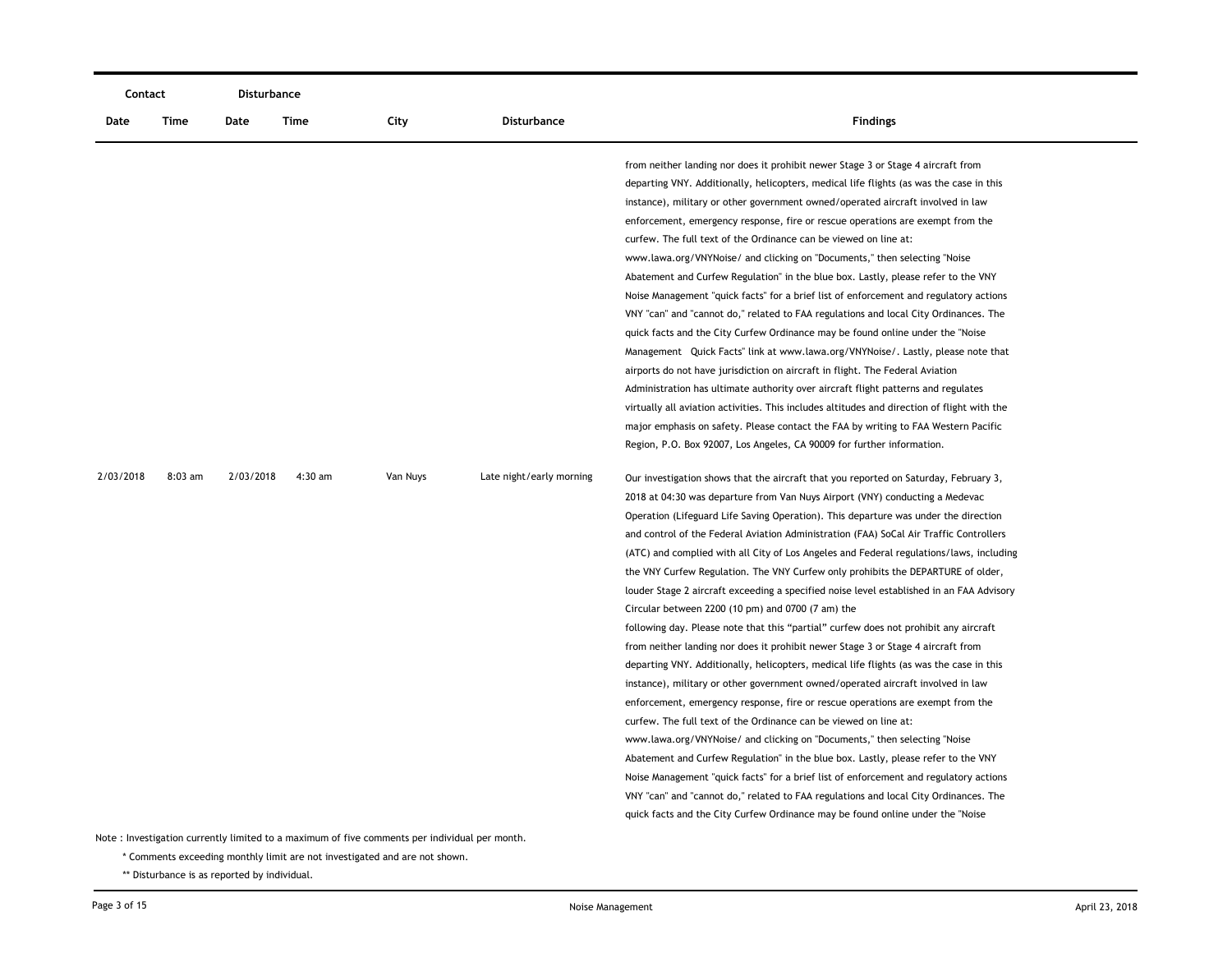|           | Contact   |           | <b>Disturbance</b> |          |                          |                                                                                                                                                                                                                                                                                                                                                                                                                                                                                                                                                                                                                                                                                                                                                                                                                                                                                                                                                                                                                                                                                                                                                                                                                                                                                                                                                                                                                                                                                                                                                                                                                                                                                                                                                                                                                                                                                                                                                                                                                                                                                                                                                                                                                                                                                                                                                                                                                                                                                                                                                                                                                                                                                                                                                                                                                                                                                                                                                 |
|-----------|-----------|-----------|--------------------|----------|--------------------------|-------------------------------------------------------------------------------------------------------------------------------------------------------------------------------------------------------------------------------------------------------------------------------------------------------------------------------------------------------------------------------------------------------------------------------------------------------------------------------------------------------------------------------------------------------------------------------------------------------------------------------------------------------------------------------------------------------------------------------------------------------------------------------------------------------------------------------------------------------------------------------------------------------------------------------------------------------------------------------------------------------------------------------------------------------------------------------------------------------------------------------------------------------------------------------------------------------------------------------------------------------------------------------------------------------------------------------------------------------------------------------------------------------------------------------------------------------------------------------------------------------------------------------------------------------------------------------------------------------------------------------------------------------------------------------------------------------------------------------------------------------------------------------------------------------------------------------------------------------------------------------------------------------------------------------------------------------------------------------------------------------------------------------------------------------------------------------------------------------------------------------------------------------------------------------------------------------------------------------------------------------------------------------------------------------------------------------------------------------------------------------------------------------------------------------------------------------------------------------------------------------------------------------------------------------------------------------------------------------------------------------------------------------------------------------------------------------------------------------------------------------------------------------------------------------------------------------------------------------------------------------------------------------------------------------------------------|
| Date      | Time      | Date      | <b>Time</b>        | City     | Disturbance              | <b>Findings</b>                                                                                                                                                                                                                                                                                                                                                                                                                                                                                                                                                                                                                                                                                                                                                                                                                                                                                                                                                                                                                                                                                                                                                                                                                                                                                                                                                                                                                                                                                                                                                                                                                                                                                                                                                                                                                                                                                                                                                                                                                                                                                                                                                                                                                                                                                                                                                                                                                                                                                                                                                                                                                                                                                                                                                                                                                                                                                                                                 |
| 2/03/2018 | $8:03$ am | 2/03/2018 | 4:30 am            | Van Nuys | Late night/early morning | from neither landing nor does it prohibit newer Stage 3 or Stage 4 aircraft from<br>departing VNY. Additionally, helicopters, medical life flights (as was the case in this<br>instance), military or other government owned/operated aircraft involved in law<br>enforcement, emergency response, fire or rescue operations are exempt from the<br>curfew. The full text of the Ordinance can be viewed on line at:<br>www.lawa.org/VNYNoise/ and clicking on "Documents," then selecting "Noise<br>Abatement and Curfew Regulation" in the blue box. Lastly, please refer to the VNY<br>Noise Management "quick facts" for a brief list of enforcement and regulatory actions<br>VNY "can" and "cannot do," related to FAA regulations and local City Ordinances. The<br>quick facts and the City Curfew Ordinance may be found online under the "Noise"<br>Management Quick Facts" link at www.lawa.org/VNYNoise/. Lastly, please note that<br>airports do not have jurisdiction on aircraft in flight. The Federal Aviation<br>Administration has ultimate authority over aircraft flight patterns and regulates<br>virtually all aviation activities. This includes altitudes and direction of flight with the<br>major emphasis on safety. Please contact the FAA by writing to FAA Western Pacific<br>Region, P.O. Box 92007, Los Angeles, CA 90009 for further information.<br>Our investigation shows that the aircraft that you reported on Saturday, February 3,<br>2018 at 04:30 was departure from Van Nuys Airport (VNY) conducting a Medevac<br>Operation (Lifeguard Life Saving Operation). This departure was under the direction<br>and control of the Federal Aviation Administration (FAA) SoCal Air Traffic Controllers<br>(ATC) and complied with all City of Los Angeles and Federal regulations/laws, including<br>the VNY Curfew Regulation. The VNY Curfew only prohibits the DEPARTURE of older,<br>louder Stage 2 aircraft exceeding a specified noise level established in an FAA Advisory<br>Circular between 2200 (10 pm) and 0700 (7 am) the<br>following day. Please note that this "partial" curfew does not prohibit any aircraft<br>from neither landing nor does it prohibit newer Stage 3 or Stage 4 aircraft from<br>departing VNY. Additionally, helicopters, medical life flights (as was the case in this<br>instance), military or other government owned/operated aircraft involved in law<br>enforcement, emergency response, fire or rescue operations are exempt from the<br>curfew. The full text of the Ordinance can be viewed on line at:<br>www.lawa.org/VNYNoise/ and clicking on "Documents," then selecting "Noise<br>Abatement and Curfew Regulation" in the blue box. Lastly, please refer to the VNY<br>Noise Management "quick facts" for a brief list of enforcement and regulatory actions<br>VNY "can" and "cannot do," related to FAA regulations and local City Ordinances. The |
|           |           |           |                    |          |                          | quick facts and the City Curfew Ordinance may be found online under the "Noise"                                                                                                                                                                                                                                                                                                                                                                                                                                                                                                                                                                                                                                                                                                                                                                                                                                                                                                                                                                                                                                                                                                                                                                                                                                                                                                                                                                                                                                                                                                                                                                                                                                                                                                                                                                                                                                                                                                                                                                                                                                                                                                                                                                                                                                                                                                                                                                                                                                                                                                                                                                                                                                                                                                                                                                                                                                                                 |

\* Comments exceeding monthly limit are not investigated and are not shown.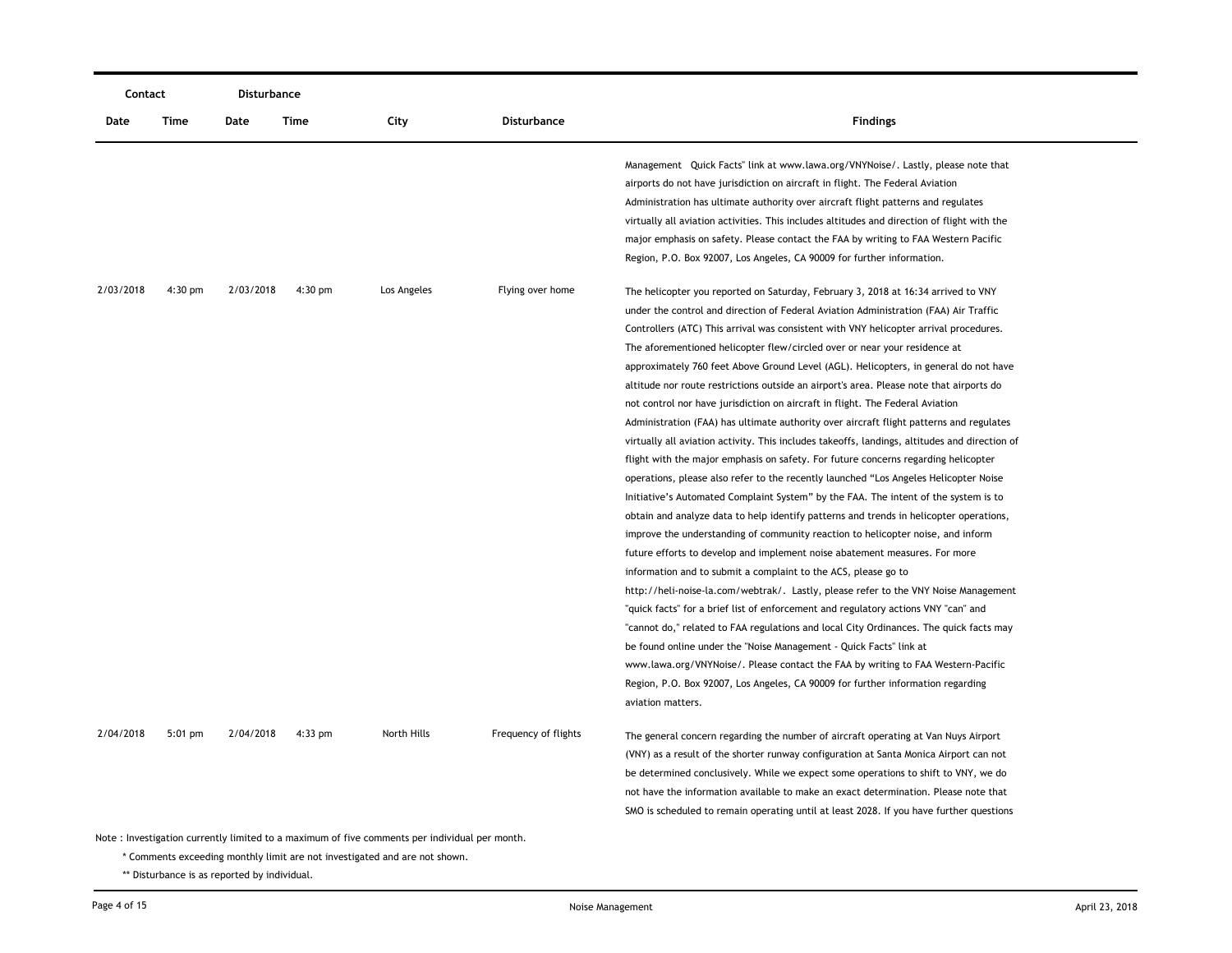| Contact   | Disturbance |           |           |                                                                                                                                                                              |                      |                                                                                                                                                                                                                                                                                                                                                                                                                                                                                                                                                                                                                                                                                                                                                                                                                                                                                                                                                                                                                                                                                                                                                                                                                                                                                                                                                                                                                                                                                                                                                                                                                                                                                                         |
|-----------|-------------|-----------|-----------|------------------------------------------------------------------------------------------------------------------------------------------------------------------------------|----------------------|---------------------------------------------------------------------------------------------------------------------------------------------------------------------------------------------------------------------------------------------------------------------------------------------------------------------------------------------------------------------------------------------------------------------------------------------------------------------------------------------------------------------------------------------------------------------------------------------------------------------------------------------------------------------------------------------------------------------------------------------------------------------------------------------------------------------------------------------------------------------------------------------------------------------------------------------------------------------------------------------------------------------------------------------------------------------------------------------------------------------------------------------------------------------------------------------------------------------------------------------------------------------------------------------------------------------------------------------------------------------------------------------------------------------------------------------------------------------------------------------------------------------------------------------------------------------------------------------------------------------------------------------------------------------------------------------------------|
| Date      | Time        | Date      | Time      | City                                                                                                                                                                         | Disturbance          | <b>Findings</b>                                                                                                                                                                                                                                                                                                                                                                                                                                                                                                                                                                                                                                                                                                                                                                                                                                                                                                                                                                                                                                                                                                                                                                                                                                                                                                                                                                                                                                                                                                                                                                                                                                                                                         |
| 2/03/2018 | $4:30$ pm   | 2/03/2018 | $4:30$ pm | Los Angeles                                                                                                                                                                  | Flying over home     | Management Quick Facts" link at www.lawa.org/VNYNoise/. Lastly, please note that<br>airports do not have jurisdiction on aircraft in flight. The Federal Aviation<br>Administration has ultimate authority over aircraft flight patterns and regulates<br>virtually all aviation activities. This includes altitudes and direction of flight with the<br>major emphasis on safety. Please contact the FAA by writing to FAA Western Pacific<br>Region, P.O. Box 92007, Los Angeles, CA 90009 for further information.<br>The helicopter you reported on Saturday, February 3, 2018 at 16:34 arrived to VNY<br>under the control and direction of Federal Aviation Administration (FAA) Air Traffic<br>Controllers (ATC) This arrival was consistent with VNY helicopter arrival procedures.<br>The aforementioned helicopter flew/circled over or near your residence at<br>approximately 760 feet Above Ground Level (AGL). Helicopters, in general do not have<br>altitude nor route restrictions outside an airport's area. Please note that airports do<br>not control nor have jurisdiction on aircraft in flight. The Federal Aviation<br>Administration (FAA) has ultimate authority over aircraft flight patterns and regulates<br>virtually all aviation activity. This includes takeoffs, landings, altitudes and direction of<br>flight with the major emphasis on safety. For future concerns regarding helicopter<br>operations, please also refer to the recently launched "Los Angeles Helicopter Noise<br>Initiative's Automated Complaint System" by the FAA. The intent of the system is to<br>obtain and analyze data to help identify patterns and trends in helicopter operations, |
| 2/04/2018 | $5:01$ pm   | 2/04/2018 | $4:33$ pm | North Hills                                                                                                                                                                  | Frequency of flights | improve the understanding of community reaction to helicopter noise, and inform<br>future efforts to develop and implement noise abatement measures. For more<br>information and to submit a complaint to the ACS, please go to<br>http://heli-noise-la.com/webtrak/. Lastly, please refer to the VNY Noise Management<br>"quick facts" for a brief list of enforcement and regulatory actions VNY "can" and<br>"cannot do," related to FAA regulations and local City Ordinances. The quick facts may<br>be found online under the "Noise Management - Quick Facts" link at<br>www.lawa.org/VNYNoise/. Please contact the FAA by writing to FAA Western-Pacific<br>Region, P.O. Box 92007, Los Angeles, CA 90009 for further information regarding<br>aviation matters.<br>The general concern regarding the number of aircraft operating at Van Nuys Airport<br>(VNY) as a result of the shorter runway configuration at Santa Monica Airport can not<br>be determined conclusively. While we expect some operations to shift to VNY, we do                                                                                                                                                                                                                                                                                                                                                                                                                                                                                                                                                                                                                                                           |
|           |             |           |           |                                                                                                                                                                              |                      | not have the information available to make an exact determination. Please note that<br>SMO is scheduled to remain operating until at least 2028. If you have further questions                                                                                                                                                                                                                                                                                                                                                                                                                                                                                                                                                                                                                                                                                                                                                                                                                                                                                                                                                                                                                                                                                                                                                                                                                                                                                                                                                                                                                                                                                                                          |
|           |             |           |           | Note : Investigation currently limited to a maximum of five comments per individual per month.<br>* Comments exceeding monthly limit are not investigated and are not shown. |                      |                                                                                                                                                                                                                                                                                                                                                                                                                                                                                                                                                                                                                                                                                                                                                                                                                                                                                                                                                                                                                                                                                                                                                                                                                                                                                                                                                                                                                                                                                                                                                                                                                                                                                                         |
|           |             |           |           |                                                                                                                                                                              |                      |                                                                                                                                                                                                                                                                                                                                                                                                                                                                                                                                                                                                                                                                                                                                                                                                                                                                                                                                                                                                                                                                                                                                                                                                                                                                                                                                                                                                                                                                                                                                                                                                                                                                                                         |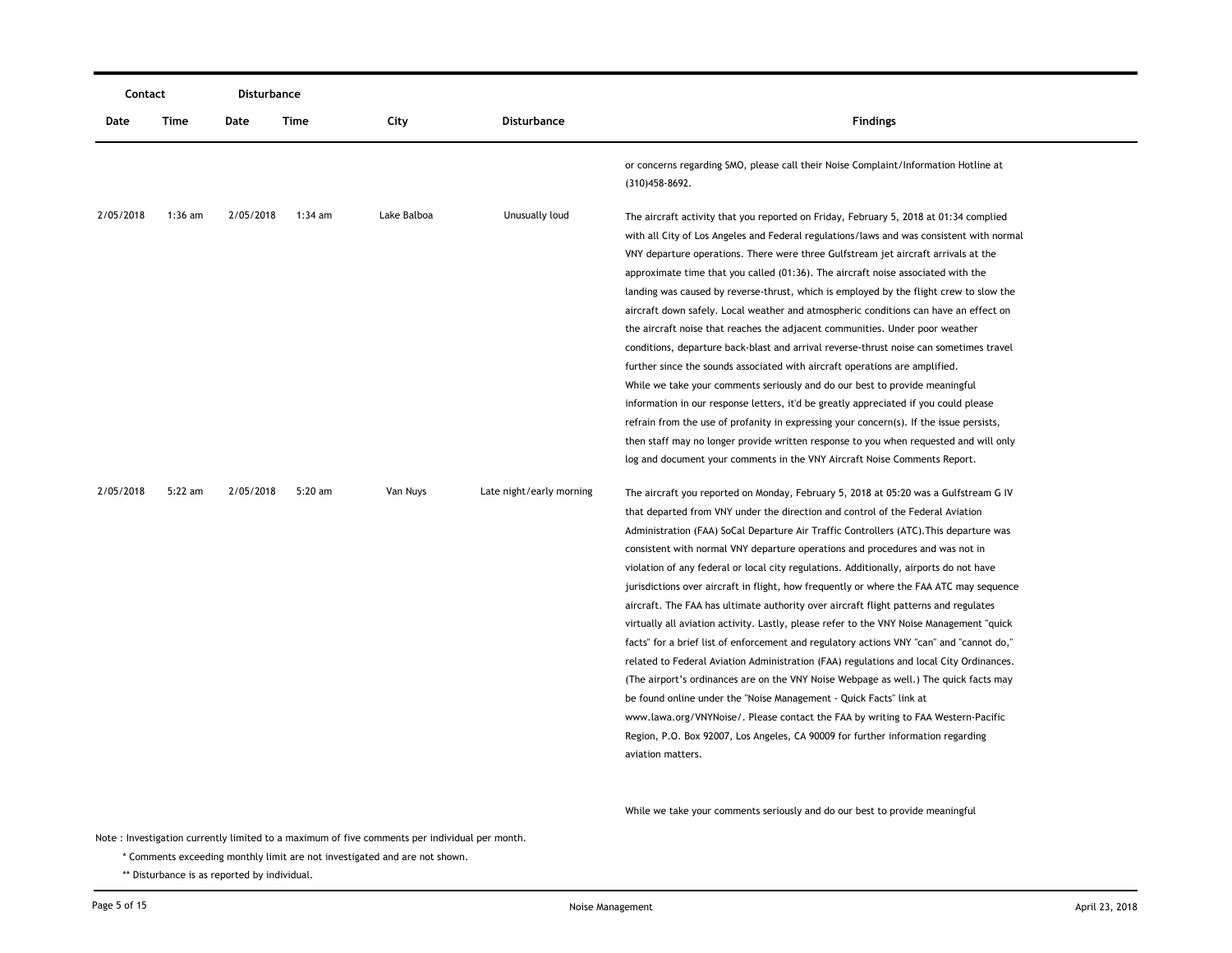| Contact   |           | Disturbance |           |             |                          |                                                                                                                                                                                                                                                                                                                                                                                                                                                                                                                                                                                                                                                                                                                                                                                                                                                                                                                                                                                                                                                                                                                                                                                                                                                                             |
|-----------|-----------|-------------|-----------|-------------|--------------------------|-----------------------------------------------------------------------------------------------------------------------------------------------------------------------------------------------------------------------------------------------------------------------------------------------------------------------------------------------------------------------------------------------------------------------------------------------------------------------------------------------------------------------------------------------------------------------------------------------------------------------------------------------------------------------------------------------------------------------------------------------------------------------------------------------------------------------------------------------------------------------------------------------------------------------------------------------------------------------------------------------------------------------------------------------------------------------------------------------------------------------------------------------------------------------------------------------------------------------------------------------------------------------------|
| Date      | Time      | Date        | Time      | City        | <b>Disturbance</b>       | <b>Findings</b>                                                                                                                                                                                                                                                                                                                                                                                                                                                                                                                                                                                                                                                                                                                                                                                                                                                                                                                                                                                                                                                                                                                                                                                                                                                             |
|           |           |             |           |             |                          | or concerns regarding SMO, please call their Noise Complaint/Information Hotline at<br>(310) 458-8692.                                                                                                                                                                                                                                                                                                                                                                                                                                                                                                                                                                                                                                                                                                                                                                                                                                                                                                                                                                                                                                                                                                                                                                      |
| 2/05/2018 | $1:36$ am | 2/05/2018   | $1:34$ am | Lake Balboa | Unusually loud           | The aircraft activity that you reported on Friday, February 5, 2018 at 01:34 complied<br>with all City of Los Angeles and Federal regulations/laws and was consistent with normal<br>VNY departure operations. There were three Gulfstream jet aircraft arrivals at the<br>approximate time that you called (01:36). The aircraft noise associated with the<br>landing was caused by reverse-thrust, which is employed by the flight crew to slow the<br>aircraft down safely. Local weather and atmospheric conditions can have an effect on<br>the aircraft noise that reaches the adjacent communities. Under poor weather<br>conditions, departure back-blast and arrival reverse-thrust noise can sometimes travel<br>further since the sounds associated with aircraft operations are amplified.<br>While we take your comments seriously and do our best to provide meaningful<br>information in our response letters, it'd be greatly appreciated if you could please<br>refrain from the use of profanity in expressing your concern(s). If the issue persists,<br>then staff may no longer provide written response to you when requested and will only<br>log and document your comments in the VNY Aircraft Noise Comments Report.                              |
| 2/05/2018 | $5:22$ am | 2/05/2018   | $5:20$ am | Van Nuys    | Late night/early morning | The aircraft you reported on Monday, February 5, 2018 at 05:20 was a Gulfstream G IV<br>that departed from VNY under the direction and control of the Federal Aviation<br>Administration (FAA) SoCal Departure Air Traffic Controllers (ATC). This departure was<br>consistent with normal VNY departure operations and procedures and was not in<br>violation of any federal or local city regulations. Additionally, airports do not have<br>jurisdictions over aircraft in flight, how frequently or where the FAA ATC may sequence<br>aircraft. The FAA has ultimate authority over aircraft flight patterns and regulates<br>virtually all aviation activity. Lastly, please refer to the VNY Noise Management "quick<br>facts" for a brief list of enforcement and regulatory actions VNY "can" and "cannot do,"<br>related to Federal Aviation Administration (FAA) regulations and local City Ordinances.<br>(The airport's ordinances are on the VNY Noise Webpage as well.) The quick facts may<br>be found online under the "Noise Management - Quick Facts" link at<br>www.lawa.org/VNYNoise/. Please contact the FAA by writing to FAA Western-Pacific<br>Region, P.O. Box 92007, Los Angeles, CA 90009 for further information regarding<br>aviation matters. |

While we take your comments seriously and do our best to provide meaningful

Note : Investigation currently limited to a maximum of five comments per individual per month.

\* Comments exceeding monthly limit are not investigated and are not shown.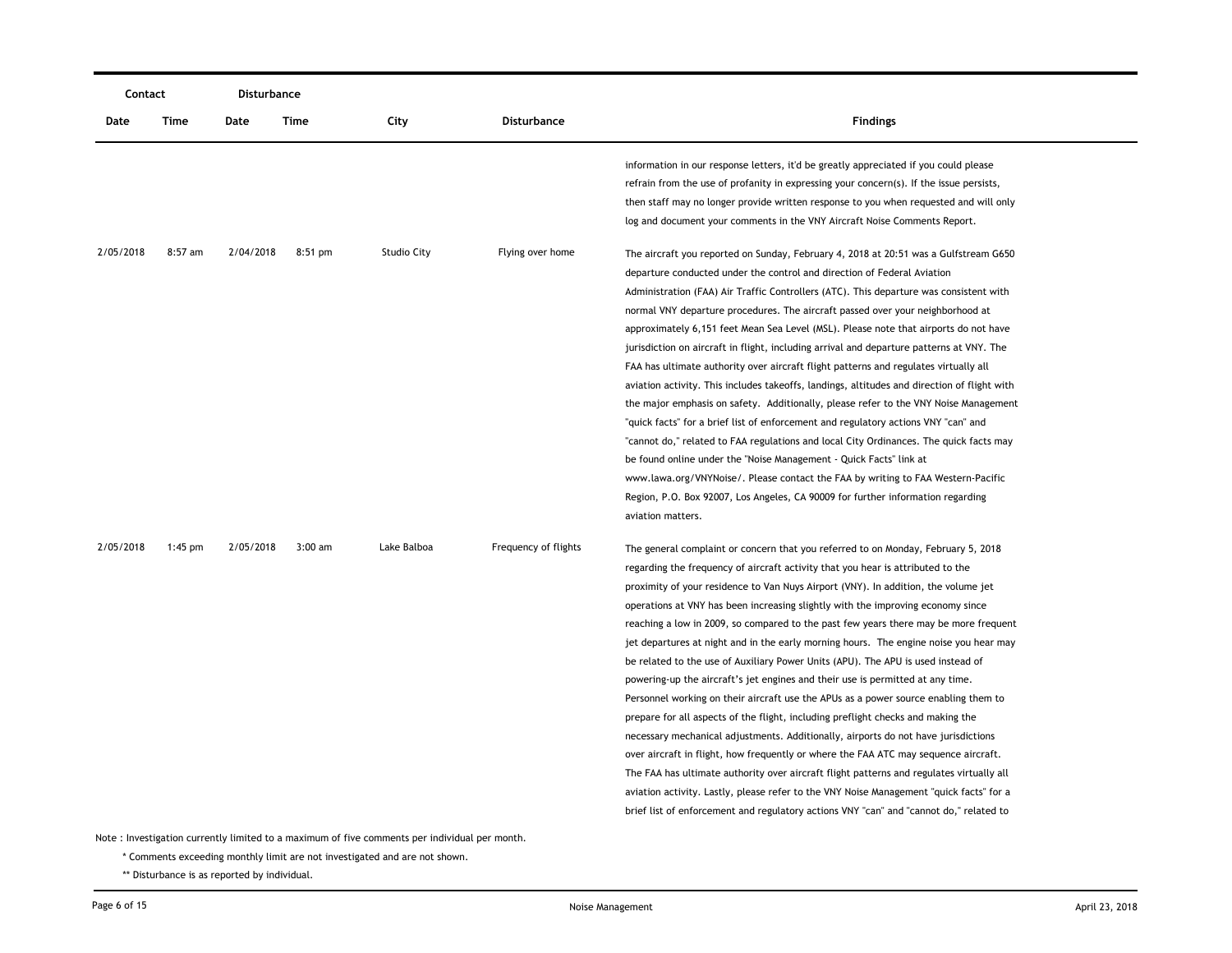| Contact   |           | Disturbance |           |                    |                      |                                                                                                                                                                                                                                                                                                                                                                                                                                                                                                                                                                                                                                                                                                                                                                                                                                                                                                                                                                                                                                                                                                                                                                                                                                                                                                                                               |
|-----------|-----------|-------------|-----------|--------------------|----------------------|-----------------------------------------------------------------------------------------------------------------------------------------------------------------------------------------------------------------------------------------------------------------------------------------------------------------------------------------------------------------------------------------------------------------------------------------------------------------------------------------------------------------------------------------------------------------------------------------------------------------------------------------------------------------------------------------------------------------------------------------------------------------------------------------------------------------------------------------------------------------------------------------------------------------------------------------------------------------------------------------------------------------------------------------------------------------------------------------------------------------------------------------------------------------------------------------------------------------------------------------------------------------------------------------------------------------------------------------------|
| Date      | Time      | Date        | Time      | City               | <b>Disturbance</b>   | <b>Findings</b>                                                                                                                                                                                                                                                                                                                                                                                                                                                                                                                                                                                                                                                                                                                                                                                                                                                                                                                                                                                                                                                                                                                                                                                                                                                                                                                               |
|           |           |             |           |                    |                      | information in our response letters, it'd be greatly appreciated if you could please<br>refrain from the use of profanity in expressing your concern(s). If the issue persists,<br>then staff may no longer provide written response to you when requested and will only<br>log and document your comments in the VNY Aircraft Noise Comments Report.                                                                                                                                                                                                                                                                                                                                                                                                                                                                                                                                                                                                                                                                                                                                                                                                                                                                                                                                                                                         |
| 2/05/2018 | 8:57 am   | 2/04/2018   | $8:51$ pm | <b>Studio City</b> | Flying over home     | The aircraft you reported on Sunday, February 4, 2018 at 20:51 was a Gulfstream G650<br>departure conducted under the control and direction of Federal Aviation<br>Administration (FAA) Air Traffic Controllers (ATC). This departure was consistent with<br>normal VNY departure procedures. The aircraft passed over your neighborhood at<br>approximately 6,151 feet Mean Sea Level (MSL). Please note that airports do not have<br>jurisdiction on aircraft in flight, including arrival and departure patterns at VNY. The<br>FAA has ultimate authority over aircraft flight patterns and regulates virtually all<br>aviation activity. This includes take offs, landings, altitudes and direction of flight with<br>the major emphasis on safety. Additionally, please refer to the VNY Noise Management<br>"quick facts" for a brief list of enforcement and regulatory actions VNY "can" and<br>"cannot do," related to FAA regulations and local City Ordinances. The quick facts may<br>be found online under the "Noise Management - Quick Facts" link at<br>www.lawa.org/VNYNoise/. Please contact the FAA by writing to FAA Western-Pacific<br>Region, P.O. Box 92007, Los Angeles, CA 90009 for further information regarding<br>aviation matters.                                                                             |
| 2/05/2018 | $1:45$ pm | 2/05/2018   | $3:00$ am | Lake Balboa        | Frequency of flights | The general complaint or concern that you referred to on Monday, February 5, 2018<br>regarding the frequency of aircraft activity that you hear is attributed to the<br>proximity of your residence to Van Nuys Airport (VNY). In addition, the volume jet<br>operations at VNY has been increasing slightly with the improving economy since<br>reaching a low in 2009, so compared to the past few years there may be more frequent<br>jet departures at night and in the early morning hours. The engine noise you hear may<br>be related to the use of Auxiliary Power Units (APU). The APU is used instead of<br>powering-up the aircraft's jet engines and their use is permitted at any time.<br>Personnel working on their aircraft use the APUs as a power source enabling them to<br>prepare for all aspects of the flight, including preflight checks and making the<br>necessary mechanical adjustments. Additionally, airports do not have jurisdictions<br>over aircraft in flight, how frequently or where the FAA ATC may sequence aircraft.<br>The FAA has ultimate authority over aircraft flight patterns and regulates virtually all<br>aviation activity. Lastly, please refer to the VNY Noise Management "quick facts" for a<br>brief list of enforcement and regulatory actions VNY "can" and "cannot do," related to |

\* Comments exceeding monthly limit are not investigated and are not shown.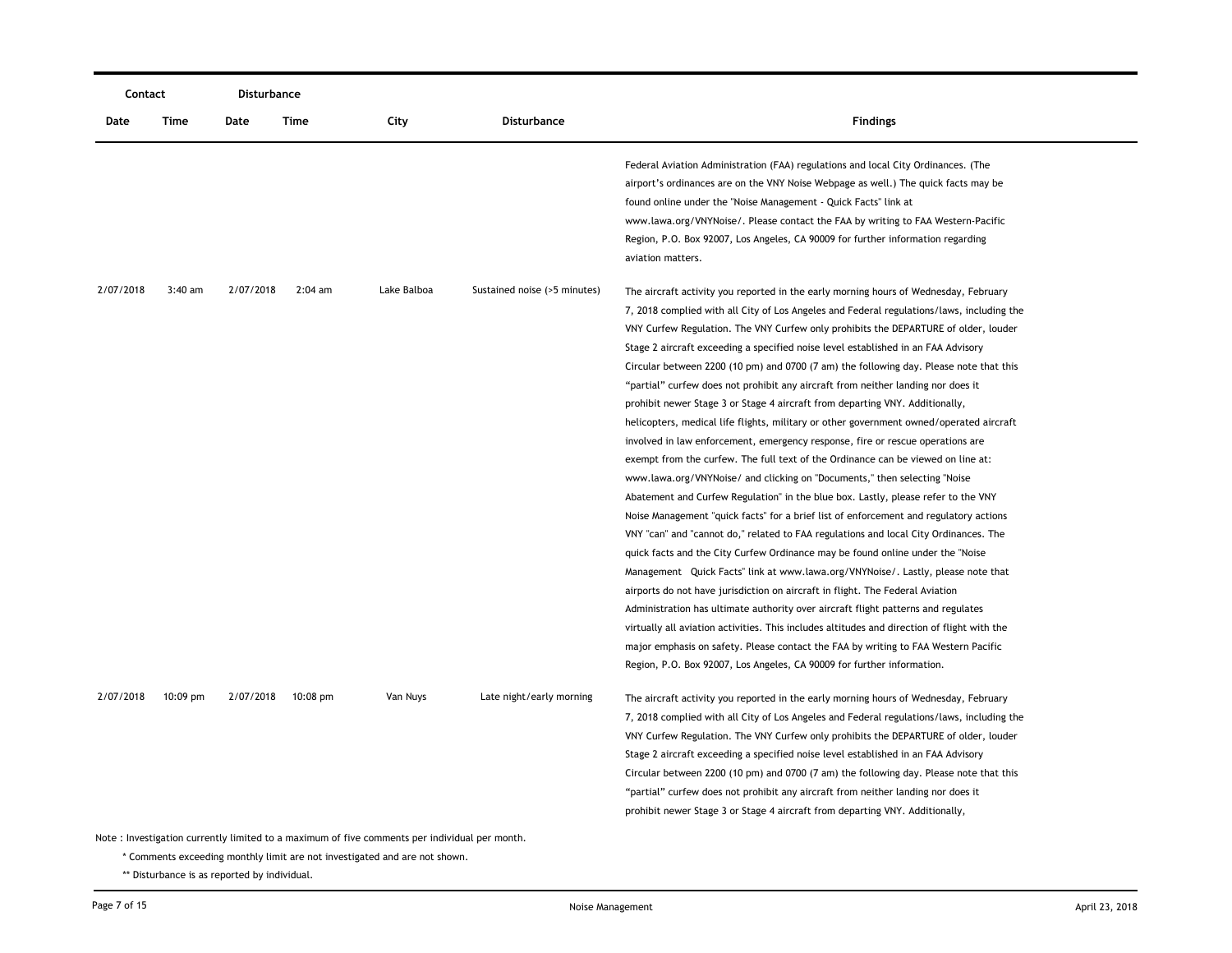|           | Contact                                                                                       |           | Disturbance        |             |                              |                                                                                                                                                                                                                                                                                                                                                                                                                                                                                                                                                                                                                                                                                                                                                                                                                                                                                                                                                                                                                                                                                                                                                                                                                                                                                                                                                                                                                                                                                                                                                                                                                                                                                                                                                                                                                                                             |  |  |
|-----------|-----------------------------------------------------------------------------------------------|-----------|--------------------|-------------|------------------------------|-------------------------------------------------------------------------------------------------------------------------------------------------------------------------------------------------------------------------------------------------------------------------------------------------------------------------------------------------------------------------------------------------------------------------------------------------------------------------------------------------------------------------------------------------------------------------------------------------------------------------------------------------------------------------------------------------------------------------------------------------------------------------------------------------------------------------------------------------------------------------------------------------------------------------------------------------------------------------------------------------------------------------------------------------------------------------------------------------------------------------------------------------------------------------------------------------------------------------------------------------------------------------------------------------------------------------------------------------------------------------------------------------------------------------------------------------------------------------------------------------------------------------------------------------------------------------------------------------------------------------------------------------------------------------------------------------------------------------------------------------------------------------------------------------------------------------------------------------------------|--|--|
| Date      | Time                                                                                          | Date      | Time               | City        | <b>Disturbance</b>           | <b>Findings</b>                                                                                                                                                                                                                                                                                                                                                                                                                                                                                                                                                                                                                                                                                                                                                                                                                                                                                                                                                                                                                                                                                                                                                                                                                                                                                                                                                                                                                                                                                                                                                                                                                                                                                                                                                                                                                                             |  |  |
|           |                                                                                               |           |                    |             |                              | Federal Aviation Administration (FAA) regulations and local City Ordinances. (The<br>airport's ordinances are on the VNY Noise Webpage as well.) The quick facts may be<br>found online under the "Noise Management - Quick Facts" link at<br>www.lawa.org/VNYNoise/. Please contact the FAA by writing to FAA Western-Pacific<br>Region, P.O. Box 92007, Los Angeles, CA 90009 for further information regarding<br>aviation matters.                                                                                                                                                                                                                                                                                                                                                                                                                                                                                                                                                                                                                                                                                                                                                                                                                                                                                                                                                                                                                                                                                                                                                                                                                                                                                                                                                                                                                      |  |  |
| 2/07/2018 | $3:40$ am                                                                                     | 2/07/2018 | $2:04$ am          | Lake Balboa | Sustained noise (>5 minutes) | The aircraft activity you reported in the early morning hours of Wednesday, February<br>7, 2018 complied with all City of Los Angeles and Federal regulations/laws, including the<br>VNY Curfew Regulation. The VNY Curfew only prohibits the DEPARTURE of older, louder<br>Stage 2 aircraft exceeding a specified noise level established in an FAA Advisory<br>Circular between 2200 (10 pm) and 0700 (7 am) the following day. Please note that this<br>"partial" curfew does not prohibit any aircraft from neither landing nor does it<br>prohibit newer Stage 3 or Stage 4 aircraft from departing VNY. Additionally,<br>helicopters, medical life flights, military or other government owned/operated aircraft<br>involved in law enforcement, emergency response, fire or rescue operations are<br>exempt from the curfew. The full text of the Ordinance can be viewed on line at:<br>www.lawa.org/VNYNoise/ and clicking on "Documents," then selecting "Noise<br>Abatement and Curfew Regulation" in the blue box. Lastly, please refer to the VNY<br>Noise Management "quick facts" for a brief list of enforcement and regulatory actions<br>VNY "can" and "cannot do," related to FAA regulations and local City Ordinances. The<br>quick facts and the City Curfew Ordinance may be found online under the "Noise"<br>Management Quick Facts" link at www.lawa.org/VNYNoise/. Lastly, please note that<br>airports do not have jurisdiction on aircraft in flight. The Federal Aviation<br>Administration has ultimate authority over aircraft flight patterns and regulates<br>virtually all aviation activities. This includes altitudes and direction of flight with the<br>major emphasis on safety. Please contact the FAA by writing to FAA Western Pacific<br>Region, P.O. Box 92007, Los Angeles, CA 90009 for further information. |  |  |
| 2/07/2018 | $10:09$ pm                                                                                    | 2/07/2018 | $10:08 \text{ pm}$ | Van Nuys    | Late night/early morning     | The aircraft activity you reported in the early morning hours of Wednesday, February<br>7, 2018 complied with all City of Los Angeles and Federal regulations/laws, including the<br>VNY Curfew Regulation. The VNY Curfew only prohibits the DEPARTURE of older, louder<br>Stage 2 aircraft exceeding a specified noise level established in an FAA Advisory<br>Circular between 2200 (10 pm) and 0700 (7 am) the following day. Please note that this<br>"partial" curfew does not prohibit any aircraft from neither landing nor does it<br>prohibit newer Stage 3 or Stage 4 aircraft from departing VNY. Additionally,                                                                                                                                                                                                                                                                                                                                                                                                                                                                                                                                                                                                                                                                                                                                                                                                                                                                                                                                                                                                                                                                                                                                                                                                                                 |  |  |
|           | Note: Investigation currently limited to a maximum of five comments per individual per month. |           |                    |             |                              |                                                                                                                                                                                                                                                                                                                                                                                                                                                                                                                                                                                                                                                                                                                                                                                                                                                                                                                                                                                                                                                                                                                                                                                                                                                                                                                                                                                                                                                                                                                                                                                                                                                                                                                                                                                                                                                             |  |  |

\* Comments exceeding monthly limit are not investigated and are not shown.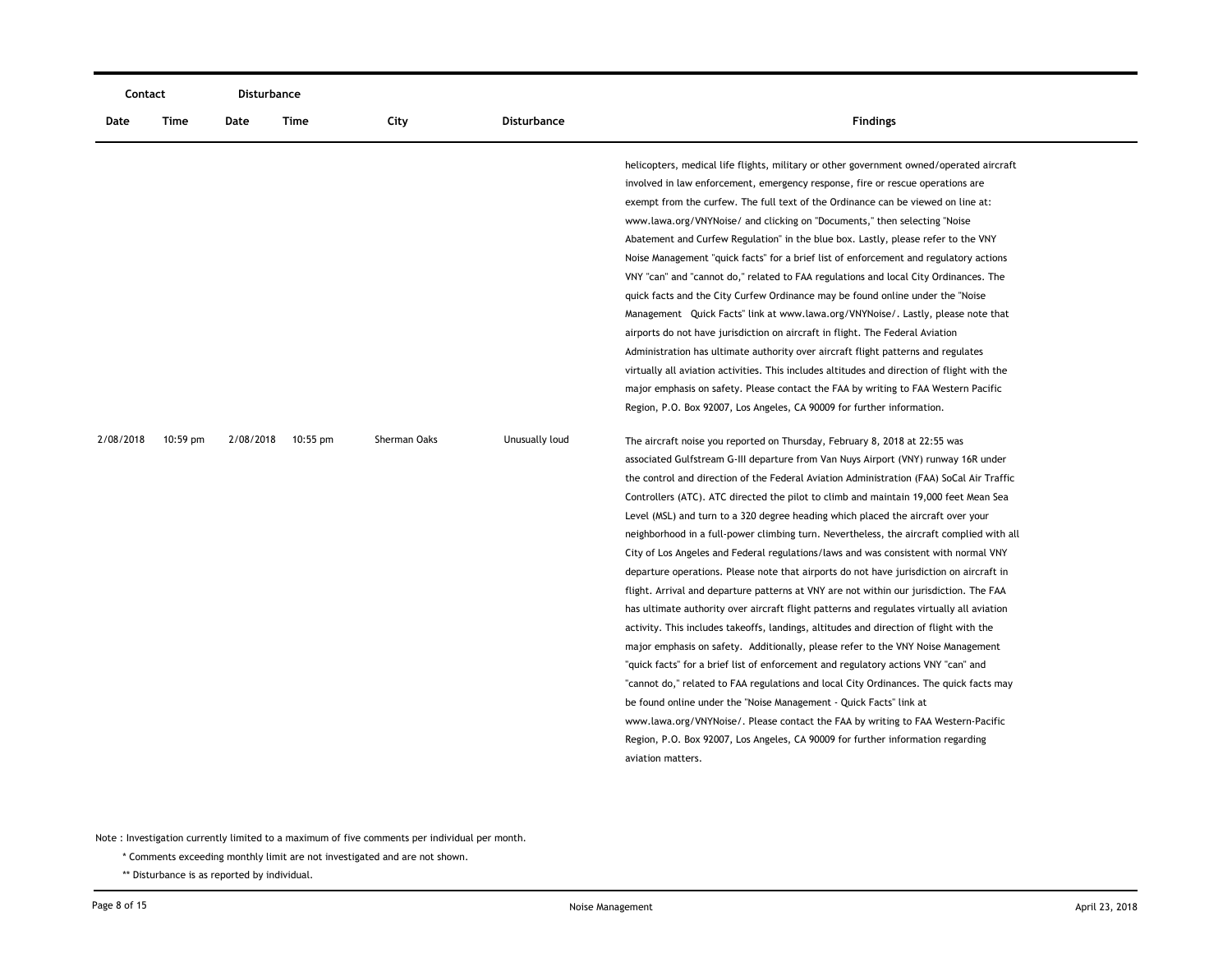| Contact   |          | <b>Disturbance</b> |            |              |                    |                                                                                                                                                                                                                                                                                                                                                                                                                                                                                                                                                                                                                                                                                                                                                                                                                                                                                                                                                                                                                                                                                                                                                                                                                                                                                                                                                                                                                                                                                                                                               |
|-----------|----------|--------------------|------------|--------------|--------------------|-----------------------------------------------------------------------------------------------------------------------------------------------------------------------------------------------------------------------------------------------------------------------------------------------------------------------------------------------------------------------------------------------------------------------------------------------------------------------------------------------------------------------------------------------------------------------------------------------------------------------------------------------------------------------------------------------------------------------------------------------------------------------------------------------------------------------------------------------------------------------------------------------------------------------------------------------------------------------------------------------------------------------------------------------------------------------------------------------------------------------------------------------------------------------------------------------------------------------------------------------------------------------------------------------------------------------------------------------------------------------------------------------------------------------------------------------------------------------------------------------------------------------------------------------|
| Date      | Time     | Date               | Time       | City         | <b>Disturbance</b> | <b>Findings</b>                                                                                                                                                                                                                                                                                                                                                                                                                                                                                                                                                                                                                                                                                                                                                                                                                                                                                                                                                                                                                                                                                                                                                                                                                                                                                                                                                                                                                                                                                                                               |
|           |          |                    |            |              |                    | helicopters, medical life flights, military or other government owned/operated aircraft<br>involved in law enforcement, emergency response, fire or rescue operations are<br>exempt from the curfew. The full text of the Ordinance can be viewed on line at:<br>www.lawa.org/VNYNoise/ and clicking on "Documents," then selecting "Noise<br>Abatement and Curfew Regulation" in the blue box. Lastly, please refer to the VNY<br>Noise Management "quick facts" for a brief list of enforcement and regulatory actions<br>VNY "can" and "cannot do," related to FAA regulations and local City Ordinances. The<br>quick facts and the City Curfew Ordinance may be found online under the "Noise"<br>Management Quick Facts" link at www.lawa.org/VNYNoise/. Lastly, please note that<br>airports do not have jurisdiction on aircraft in flight. The Federal Aviation<br>Administration has ultimate authority over aircraft flight patterns and regulates<br>virtually all aviation activities. This includes altitudes and direction of flight with the<br>major emphasis on safety. Please contact the FAA by writing to FAA Western Pacific<br>Region, P.O. Box 92007, Los Angeles, CA 90009 for further information.                                                                                                                                                                                                                                                                                                                  |
| 2/08/2018 | 10:59 pm | 2/08/2018          | $10:55$ pm | Sherman Oaks | Unusually loud     | The aircraft noise you reported on Thursday, February 8, 2018 at 22:55 was<br>associated Gulfstream G-III departure from Van Nuys Airport (VNY) runway 16R under<br>the control and direction of the Federal Aviation Administration (FAA) SoCal Air Traffic<br>Controllers (ATC). ATC directed the pilot to climb and maintain 19,000 feet Mean Sea<br>Level (MSL) and turn to a 320 degree heading which placed the aircraft over your<br>neighborhood in a full-power climbing turn. Nevertheless, the aircraft complied with all<br>City of Los Angeles and Federal regulations/laws and was consistent with normal VNY<br>departure operations. Please note that airports do not have jurisdiction on aircraft in<br>flight. Arrival and departure patterns at VNY are not within our jurisdiction. The FAA<br>has ultimate authority over aircraft flight patterns and regulates virtually all aviation<br>activity. This includes takeoffs, landings, altitudes and direction of flight with the<br>major emphasis on safety. Additionally, please refer to the VNY Noise Management<br>"quick facts" for a brief list of enforcement and regulatory actions VNY "can" and<br>"cannot do," related to FAA regulations and local City Ordinances. The quick facts may<br>be found online under the "Noise Management - Quick Facts" link at<br>www.lawa.org/VNYNoise/. Please contact the FAA by writing to FAA Western-Pacific<br>Region, P.O. Box 92007, Los Angeles, CA 90009 for further information regarding<br>aviation matters. |

\* Comments exceeding monthly limit are not investigated and are not shown.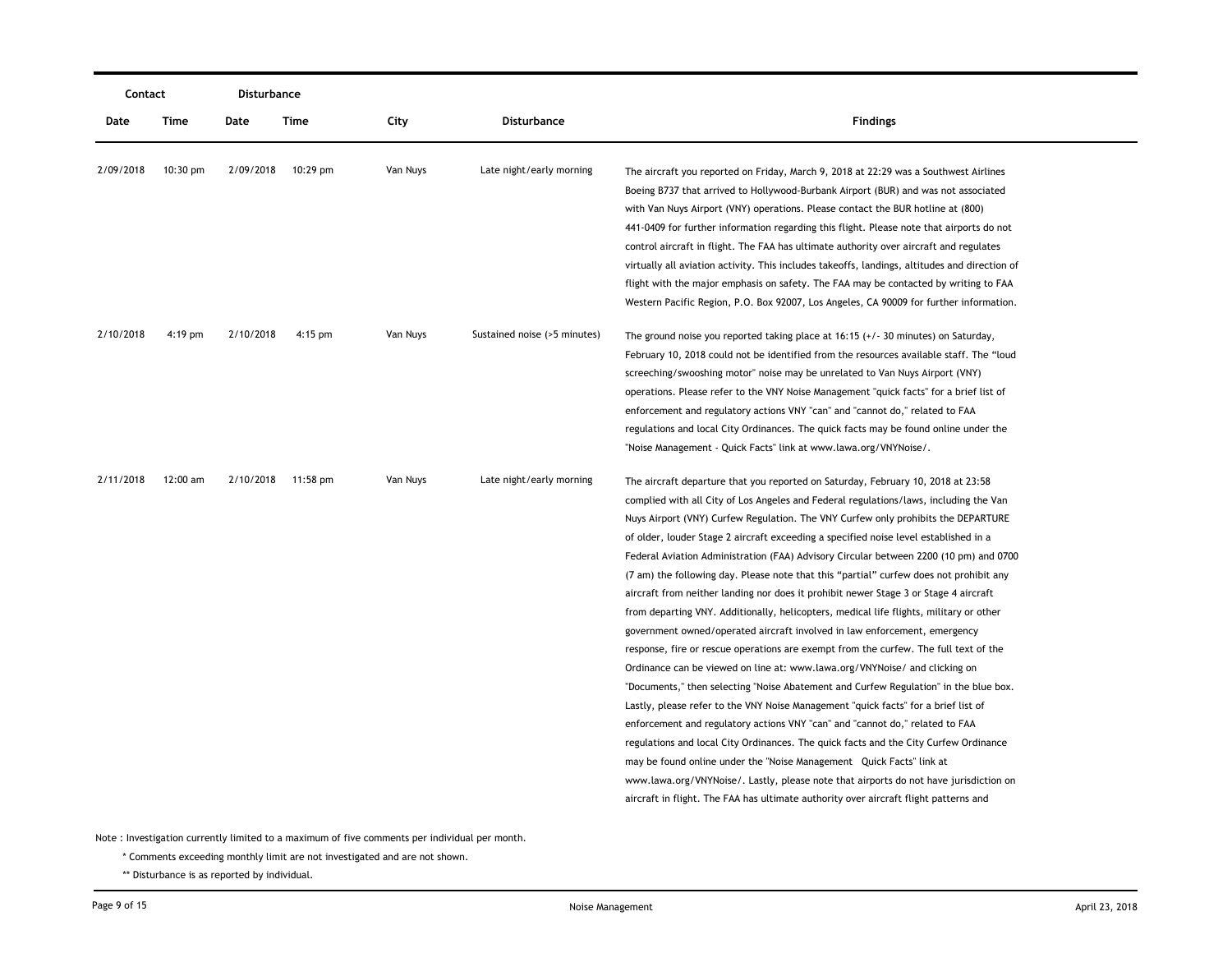| Contact   |            | Disturbance |                    |          |                              |                                                                                                                                                                                                                                                                                                                                                                                                                                                                                                                                                                                                                                                                                                                                                                                                                                                                                                                                                                                                                                                                                                                                                                                                                                                                                                                                                                                                                                                                                                                                                                                               |
|-----------|------------|-------------|--------------------|----------|------------------------------|-----------------------------------------------------------------------------------------------------------------------------------------------------------------------------------------------------------------------------------------------------------------------------------------------------------------------------------------------------------------------------------------------------------------------------------------------------------------------------------------------------------------------------------------------------------------------------------------------------------------------------------------------------------------------------------------------------------------------------------------------------------------------------------------------------------------------------------------------------------------------------------------------------------------------------------------------------------------------------------------------------------------------------------------------------------------------------------------------------------------------------------------------------------------------------------------------------------------------------------------------------------------------------------------------------------------------------------------------------------------------------------------------------------------------------------------------------------------------------------------------------------------------------------------------------------------------------------------------|
| Date      | Time       | Date        | Time               | City     | <b>Disturbance</b>           | <b>Findings</b>                                                                                                                                                                                                                                                                                                                                                                                                                                                                                                                                                                                                                                                                                                                                                                                                                                                                                                                                                                                                                                                                                                                                                                                                                                                                                                                                                                                                                                                                                                                                                                               |
| 2/09/2018 | $10:30$ pm | 2/09/2018   | 10:29 pm           | Van Nuys | Late night/early morning     | The aircraft you reported on Friday, March 9, 2018 at 22:29 was a Southwest Airlines<br>Boeing B737 that arrived to Hollywood-Burbank Airport (BUR) and was not associated<br>with Van Nuys Airport (VNY) operations. Please contact the BUR hotline at (800)<br>441-0409 for further information regarding this flight. Please note that airports do not<br>control aircraft in flight. The FAA has ultimate authority over aircraft and regulates<br>virtually all aviation activity. This includes takeoffs, landings, altitudes and direction of<br>flight with the major emphasis on safety. The FAA may be contacted by writing to FAA<br>Western Pacific Region, P.O. Box 92007, Los Angeles, CA 90009 for further information.                                                                                                                                                                                                                                                                                                                                                                                                                                                                                                                                                                                                                                                                                                                                                                                                                                                        |
| 2/10/2018 | $4:19$ pm  | 2/10/2018   | $4:15$ pm          | Van Nuys | Sustained noise (>5 minutes) | The ground noise you reported taking place at $16:15$ ( $+/-30$ minutes) on Saturday,<br>February 10, 2018 could not be identified from the resources available staff. The "loud<br>screeching/swooshing motor" noise may be unrelated to Van Nuys Airport (VNY)<br>operations. Please refer to the VNY Noise Management "quick facts" for a brief list of<br>enforcement and regulatory actions VNY "can" and "cannot do," related to FAA<br>regulations and local City Ordinances. The quick facts may be found online under the<br>"Noise Management - Quick Facts" link at www.lawa.org/VNYNoise/.                                                                                                                                                                                                                                                                                                                                                                                                                                                                                                                                                                                                                                                                                                                                                                                                                                                                                                                                                                                        |
| 2/11/2018 | 12:00 am   |             | 2/10/2018 11:58 pm | Van Nuys | Late night/early morning     | The aircraft departure that you reported on Saturday, February 10, 2018 at 23:58<br>complied with all City of Los Angeles and Federal regulations/laws, including the Van<br>Nuys Airport (VNY) Curfew Regulation. The VNY Curfew only prohibits the DEPARTURE<br>of older, louder Stage 2 aircraft exceeding a specified noise level established in a<br>Federal Aviation Administration (FAA) Advisory Circular between 2200 (10 pm) and 0700<br>(7 am) the following day. Please note that this "partial" curfew does not prohibit any<br>aircraft from neither landing nor does it prohibit newer Stage 3 or Stage 4 aircraft<br>from departing VNY. Additionally, helicopters, medical life flights, military or other<br>government owned/operated aircraft involved in law enforcement, emergency<br>response, fire or rescue operations are exempt from the curfew. The full text of the<br>Ordinance can be viewed on line at: www.lawa.org/VNYNoise/ and clicking on<br>"Documents," then selecting "Noise Abatement and Curfew Regulation" in the blue box.<br>Lastly, please refer to the VNY Noise Management "quick facts" for a brief list of<br>enforcement and regulatory actions VNY "can" and "cannot do," related to FAA<br>regulations and local City Ordinances. The quick facts and the City Curfew Ordinance<br>may be found online under the "Noise Management Quick Facts" link at<br>www.lawa.org/VNYNoise/. Lastly, please note that airports do not have jurisdiction on<br>aircraft in flight. The FAA has ultimate authority over aircraft flight patterns and |

\* Comments exceeding monthly limit are not investigated and are not shown.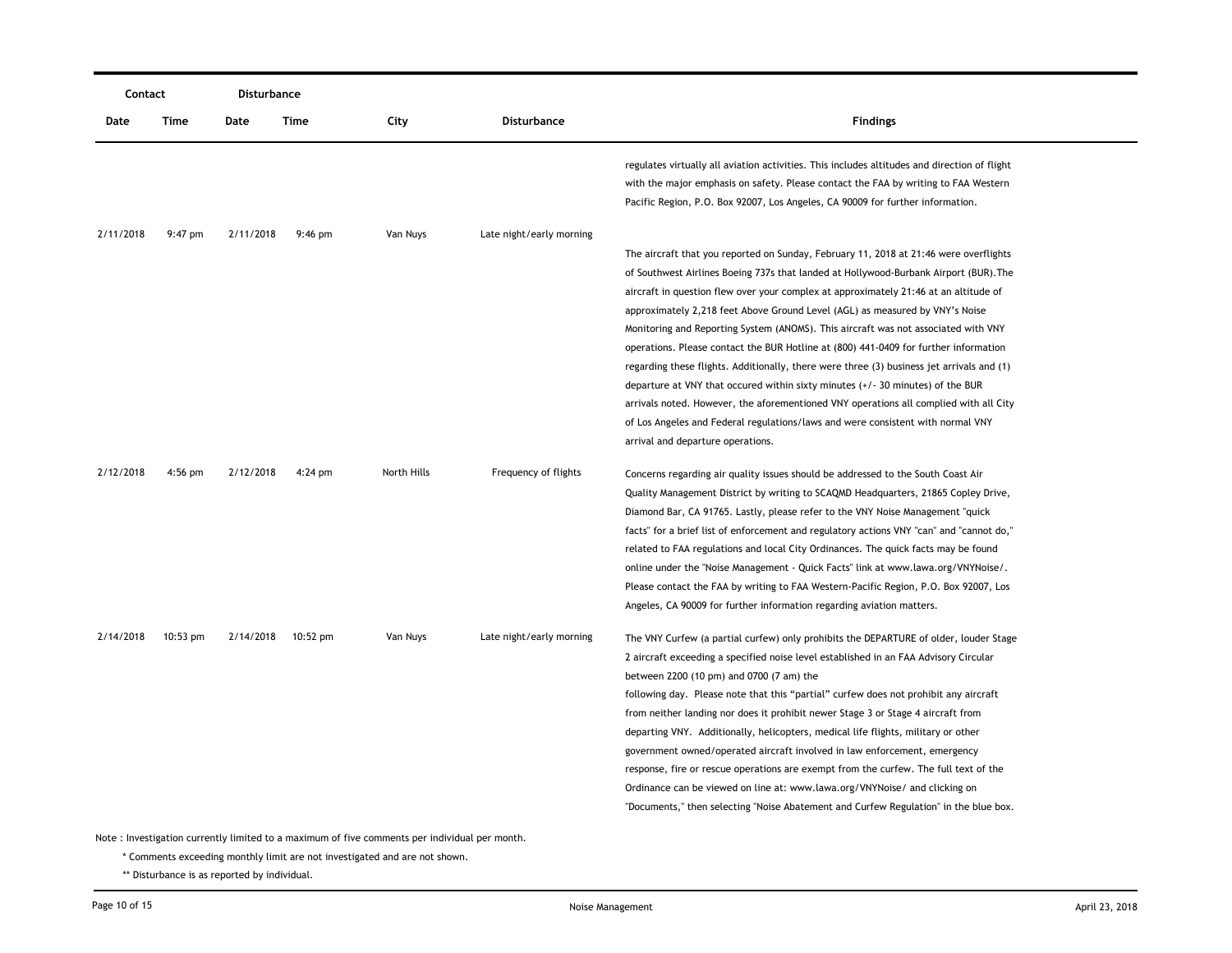|           | Contact  |           | <b>Disturbance</b> |             |                          |                                                                                                                                                                                                                                                                                                                                                                                                                                                                                                                                                                                                                                                                                                                                                                                                                                                                                                                                        |
|-----------|----------|-----------|--------------------|-------------|--------------------------|----------------------------------------------------------------------------------------------------------------------------------------------------------------------------------------------------------------------------------------------------------------------------------------------------------------------------------------------------------------------------------------------------------------------------------------------------------------------------------------------------------------------------------------------------------------------------------------------------------------------------------------------------------------------------------------------------------------------------------------------------------------------------------------------------------------------------------------------------------------------------------------------------------------------------------------|
| Date      | Time     | Date      | Time               | City        | Disturbance              | <b>Findings</b>                                                                                                                                                                                                                                                                                                                                                                                                                                                                                                                                                                                                                                                                                                                                                                                                                                                                                                                        |
|           |          |           |                    |             |                          | regulates virtually all aviation activities. This includes altitudes and direction of flight<br>with the major emphasis on safety. Please contact the FAA by writing to FAA Western<br>Pacific Region, P.O. Box 92007, Los Angeles, CA 90009 for further information.                                                                                                                                                                                                                                                                                                                                                                                                                                                                                                                                                                                                                                                                  |
| 2/11/2018 | 9:47 pm  | 2/11/2018 | $9:46$ pm          | Van Nuys    | Late night/early morning |                                                                                                                                                                                                                                                                                                                                                                                                                                                                                                                                                                                                                                                                                                                                                                                                                                                                                                                                        |
|           |          |           |                    |             |                          | The aircraft that you reported on Sunday, February 11, 2018 at 21:46 were overflights<br>of Southwest Airlines Boeing 737s that landed at Hollywood-Burbank Airport (BUR). The<br>aircraft in question flew over your complex at approximately 21:46 at an altitude of<br>approximately 2,218 feet Above Ground Level (AGL) as measured by VNY's Noise<br>Monitoring and Reporting System (ANOMS). This aircraft was not associated with VNY<br>operations. Please contact the BUR Hotline at (800) 441-0409 for further information<br>regarding these flights. Additionally, there were three (3) business jet arrivals and (1)<br>departure at VNY that occured within sixty minutes $(+/- 30$ minutes) of the BUR<br>arrivals noted. However, the aforementioned VNY operations all complied with all City<br>of Los Angeles and Federal regulations/laws and were consistent with normal VNY<br>arrival and departure operations. |
| 2/12/2018 | 4:56 pm  | 2/12/2018 | $4:24$ pm          | North Hills | Frequency of flights     | Concerns regarding air quality issues should be addressed to the South Coast Air<br>Quality Management District by writing to SCAQMD Headquarters, 21865 Copley Drive,<br>Diamond Bar, CA 91765. Lastly, please refer to the VNY Noise Management "quick"<br>facts" for a brief list of enforcement and regulatory actions VNY "can" and "cannot do,"<br>related to FAA regulations and local City Ordinances. The quick facts may be found<br>online under the "Noise Management - Quick Facts" link at www.lawa.org/VNYNoise/.<br>Please contact the FAA by writing to FAA Western-Pacific Region, P.O. Box 92007, Los<br>Angeles, CA 90009 for further information regarding aviation matters.                                                                                                                                                                                                                                      |
| 2/14/2018 | 10:53 pm |           | 2/14/2018 10:52 pm | Van Nuys    | Late night/early morning | The VNY Curfew (a partial curfew) only prohibits the DEPARTURE of older, louder Stage<br>2 aircraft exceeding a specified noise level established in an FAA Advisory Circular<br>between 2200 (10 pm) and 0700 (7 am) the<br>following day. Please note that this "partial" curfew does not prohibit any aircraft<br>from neither landing nor does it prohibit newer Stage 3 or Stage 4 aircraft from<br>departing VNY. Additionally, helicopters, medical life flights, military or other<br>government owned/operated aircraft involved in law enforcement, emergency<br>response, fire or rescue operations are exempt from the curfew. The full text of the<br>Ordinance can be viewed on line at: www.lawa.org/VNYNoise/ and clicking on<br>"Documents," then selecting "Noise Abatement and Curfew Regulation" in the blue box.                                                                                                  |

\* Comments exceeding monthly limit are not investigated and are not shown.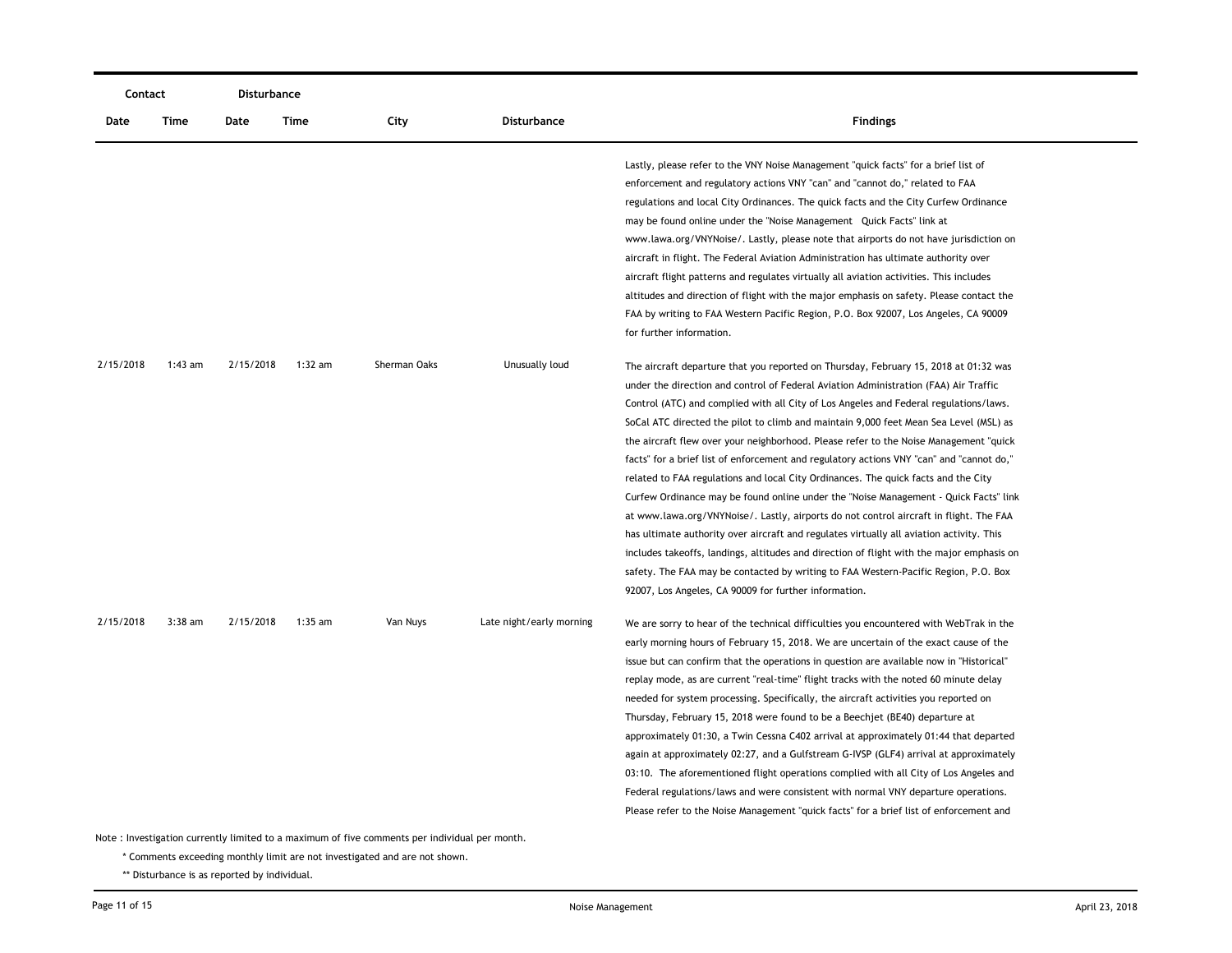|           | Contact   |           | Disturbance |                                        |                          |                                                                                                                                                                                                                                                                                                                                                                                                                                                                                                                                                                                                                                                                                                                                                                                                                                                                                                                                                                                                                                                                                                                                                                      |
|-----------|-----------|-----------|-------------|----------------------------------------|--------------------------|----------------------------------------------------------------------------------------------------------------------------------------------------------------------------------------------------------------------------------------------------------------------------------------------------------------------------------------------------------------------------------------------------------------------------------------------------------------------------------------------------------------------------------------------------------------------------------------------------------------------------------------------------------------------------------------------------------------------------------------------------------------------------------------------------------------------------------------------------------------------------------------------------------------------------------------------------------------------------------------------------------------------------------------------------------------------------------------------------------------------------------------------------------------------|
| Date      | Time      | Date      | Time        | City                                   | Disturbance              | <b>Findings</b>                                                                                                                                                                                                                                                                                                                                                                                                                                                                                                                                                                                                                                                                                                                                                                                                                                                                                                                                                                                                                                                                                                                                                      |
|           |           |           |             |                                        |                          | Lastly, please refer to the VNY Noise Management "quick facts" for a brief list of<br>enforcement and regulatory actions VNY "can" and "cannot do," related to FAA<br>regulations and local City Ordinances. The quick facts and the City Curfew Ordinance<br>may be found online under the "Noise Management Quick Facts" link at<br>www.lawa.org/VNYNoise/. Lastly, please note that airports do not have jurisdiction on<br>aircraft in flight. The Federal Aviation Administration has ultimate authority over<br>aircraft flight patterns and regulates virtually all aviation activities. This includes<br>altitudes and direction of flight with the major emphasis on safety. Please contact the<br>FAA by writing to FAA Western Pacific Region, P.O. Box 92007, Los Angeles, CA 90009<br>for further information.                                                                                                                                                                                                                                                                                                                                          |
| 2/15/2018 | $1:43$ am | 2/15/2018 | $1:32$ am   | Sherman Oaks                           | Unusually loud           | The aircraft departure that you reported on Thursday, February 15, 2018 at 01:32 was<br>under the direction and control of Federal Aviation Administration (FAA) Air Traffic<br>Control (ATC) and complied with all City of Los Angeles and Federal regulations/laws.<br>SoCal ATC directed the pilot to climb and maintain 9,000 feet Mean Sea Level (MSL) as<br>the aircraft flew over your neighborhood. Please refer to the Noise Management "quick<br>facts" for a brief list of enforcement and regulatory actions VNY "can" and "cannot do,"<br>related to FAA regulations and local City Ordinances. The quick facts and the City<br>Curfew Ordinance may be found online under the "Noise Management - Quick Facts" link<br>at www.lawa.org/VNYNoise/. Lastly, airports do not control aircraft in flight. The FAA<br>has ultimate authority over aircraft and regulates virtually all aviation activity. This<br>includes takeoffs, landings, altitudes and direction of flight with the major emphasis on<br>safety. The FAA may be contacted by writing to FAA Western-Pacific Region, P.O. Box<br>92007, Los Angeles, CA 90009 for further information. |
| 2/15/2018 | $3:38$ am | 2/15/2018 | $1:35$ am   | Van Nuys<br>مربوب المرباد فريقاء مرفان | Late night/early morning | We are sorry to hear of the technical difficulties you encountered with WebTrak in the<br>early morning hours of February 15, 2018. We are uncertain of the exact cause of the<br>issue but can confirm that the operations in question are available now in "Historical"<br>replay mode, as are current "real-time" flight tracks with the noted 60 minute delay<br>needed for system processing. Specifically, the aircraft activities you reported on<br>Thursday, February 15, 2018 were found to be a Beechjet (BE40) departure at<br>approximately 01:30, a Twin Cessna C402 arrival at approximately 01:44 that departed<br>again at approximately 02:27, and a Gulfstream G-IVSP (GLF4) arrival at approximately<br>03:10. The aforementioned flight operations complied with all City of Los Angeles and<br>Federal regulations/laws and were consistent with normal VNY departure operations.<br>Please refer to the Noise Management "quick facts" for a brief list of enforcement and                                                                                                                                                                    |

\* Comments exceeding monthly limit are not investigated and are not shown.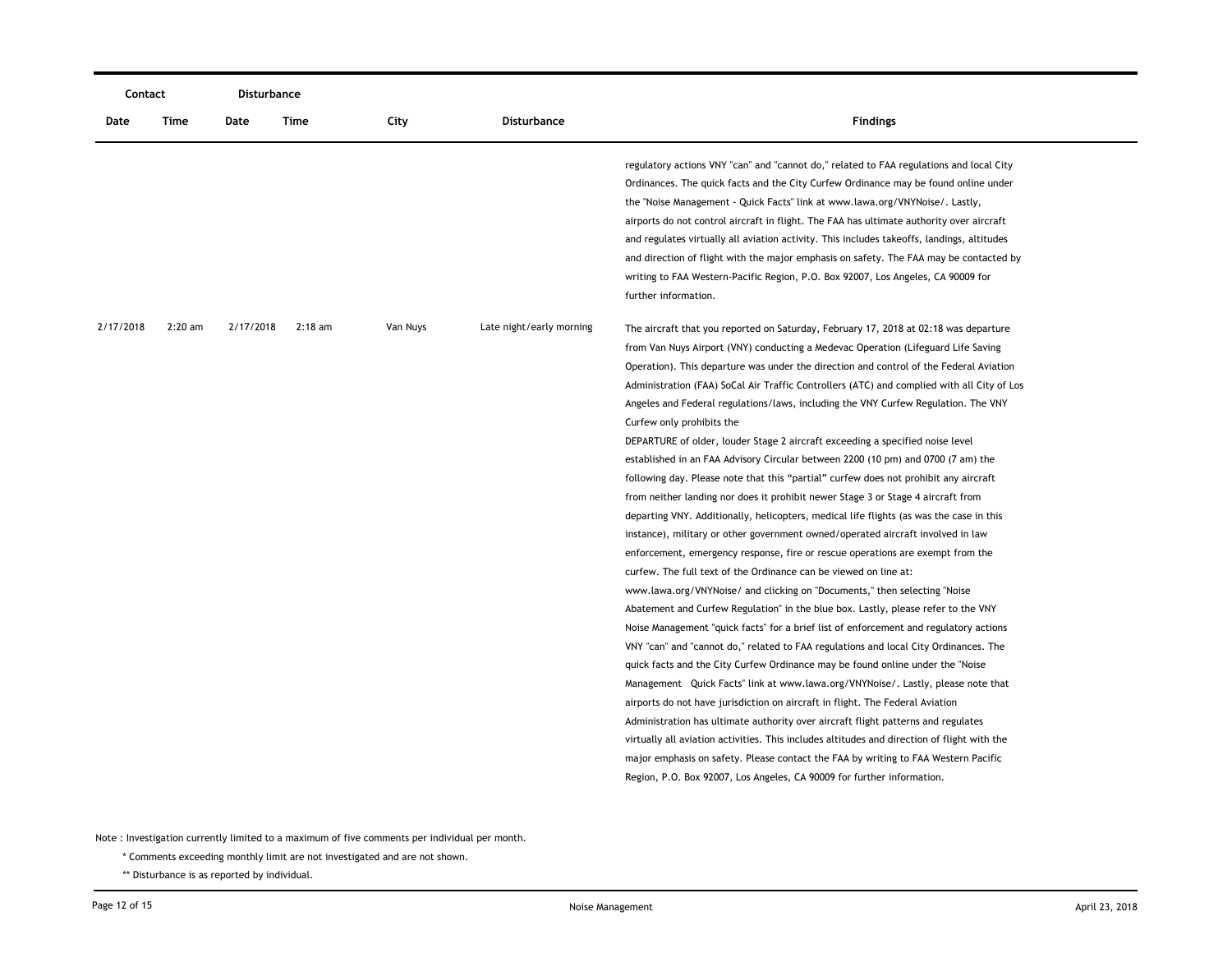| Contact   |           | Disturbance |           |          |                          |                                                                                                                                                                                                                                                                                                                                                                                                                                                                                                                                                                                                                                                                                                                                                                                                                                                                                                                                                                                                                                                                                                                                                                                                                                                                                                                                                                                                                                                                                                                                                                                                                                                                                                                                                                                                                                                                                                                                                                                                                                                                                                                                          |
|-----------|-----------|-------------|-----------|----------|--------------------------|------------------------------------------------------------------------------------------------------------------------------------------------------------------------------------------------------------------------------------------------------------------------------------------------------------------------------------------------------------------------------------------------------------------------------------------------------------------------------------------------------------------------------------------------------------------------------------------------------------------------------------------------------------------------------------------------------------------------------------------------------------------------------------------------------------------------------------------------------------------------------------------------------------------------------------------------------------------------------------------------------------------------------------------------------------------------------------------------------------------------------------------------------------------------------------------------------------------------------------------------------------------------------------------------------------------------------------------------------------------------------------------------------------------------------------------------------------------------------------------------------------------------------------------------------------------------------------------------------------------------------------------------------------------------------------------------------------------------------------------------------------------------------------------------------------------------------------------------------------------------------------------------------------------------------------------------------------------------------------------------------------------------------------------------------------------------------------------------------------------------------------------|
| Date      | Time      | Date        | Time      | City     | Disturbance              | <b>Findings</b>                                                                                                                                                                                                                                                                                                                                                                                                                                                                                                                                                                                                                                                                                                                                                                                                                                                                                                                                                                                                                                                                                                                                                                                                                                                                                                                                                                                                                                                                                                                                                                                                                                                                                                                                                                                                                                                                                                                                                                                                                                                                                                                          |
|           |           |             |           |          |                          | regulatory actions VNY "can" and "cannot do," related to FAA regulations and local City<br>Ordinances. The quick facts and the City Curfew Ordinance may be found online under<br>the "Noise Management - Quick Facts" link at www.lawa.org/VNYNoise/. Lastly,<br>airports do not control aircraft in flight. The FAA has ultimate authority over aircraft<br>and regulates virtually all aviation activity. This includes takeoffs, landings, altitudes<br>and direction of flight with the major emphasis on safety. The FAA may be contacted by<br>writing to FAA Western-Pacific Region, P.O. Box 92007, Los Angeles, CA 90009 for<br>further information.                                                                                                                                                                                                                                                                                                                                                                                                                                                                                                                                                                                                                                                                                                                                                                                                                                                                                                                                                                                                                                                                                                                                                                                                                                                                                                                                                                                                                                                                           |
| 2/17/2018 | $2:20$ am | 2/17/2018   | $2:18$ am | Van Nuys | Late night/early morning | The aircraft that you reported on Saturday, February 17, 2018 at 02:18 was departure<br>from Van Nuys Airport (VNY) conducting a Medevac Operation (Lifeguard Life Saving<br>Operation). This departure was under the direction and control of the Federal Aviation<br>Administration (FAA) SoCal Air Traffic Controllers (ATC) and complied with all City of Los<br>Angeles and Federal regulations/laws, including the VNY Curfew Regulation. The VNY<br>Curfew only prohibits the<br>DEPARTURE of older, louder Stage 2 aircraft exceeding a specified noise level<br>established in an FAA Advisory Circular between 2200 (10 pm) and 0700 (7 am) the<br>following day. Please note that this "partial" curfew does not prohibit any aircraft<br>from neither landing nor does it prohibit newer Stage 3 or Stage 4 aircraft from<br>departing VNY. Additionally, helicopters, medical life flights (as was the case in this<br>instance), military or other government owned/operated aircraft involved in law<br>enforcement, emergency response, fire or rescue operations are exempt from the<br>curfew. The full text of the Ordinance can be viewed on line at:<br>www.lawa.org/VNYNoise/ and clicking on "Documents," then selecting "Noise<br>Abatement and Curfew Regulation" in the blue box. Lastly, please refer to the VNY<br>Noise Management "quick facts" for a brief list of enforcement and regulatory actions<br>VNY "can" and "cannot do," related to FAA regulations and local City Ordinances. The<br>quick facts and the City Curfew Ordinance may be found online under the "Noise"<br>Management Quick Facts" link at www.lawa.org/VNYNoise/. Lastly, please note that<br>airports do not have jurisdiction on aircraft in flight. The Federal Aviation<br>Administration has ultimate authority over aircraft flight patterns and regulates<br>virtually all aviation activities. This includes altitudes and direction of flight with the<br>major emphasis on safety. Please contact the FAA by writing to FAA Western Pacific<br>Region, P.O. Box 92007, Los Angeles, CA 90009 for further information. |

\* Comments exceeding monthly limit are not investigated and are not shown.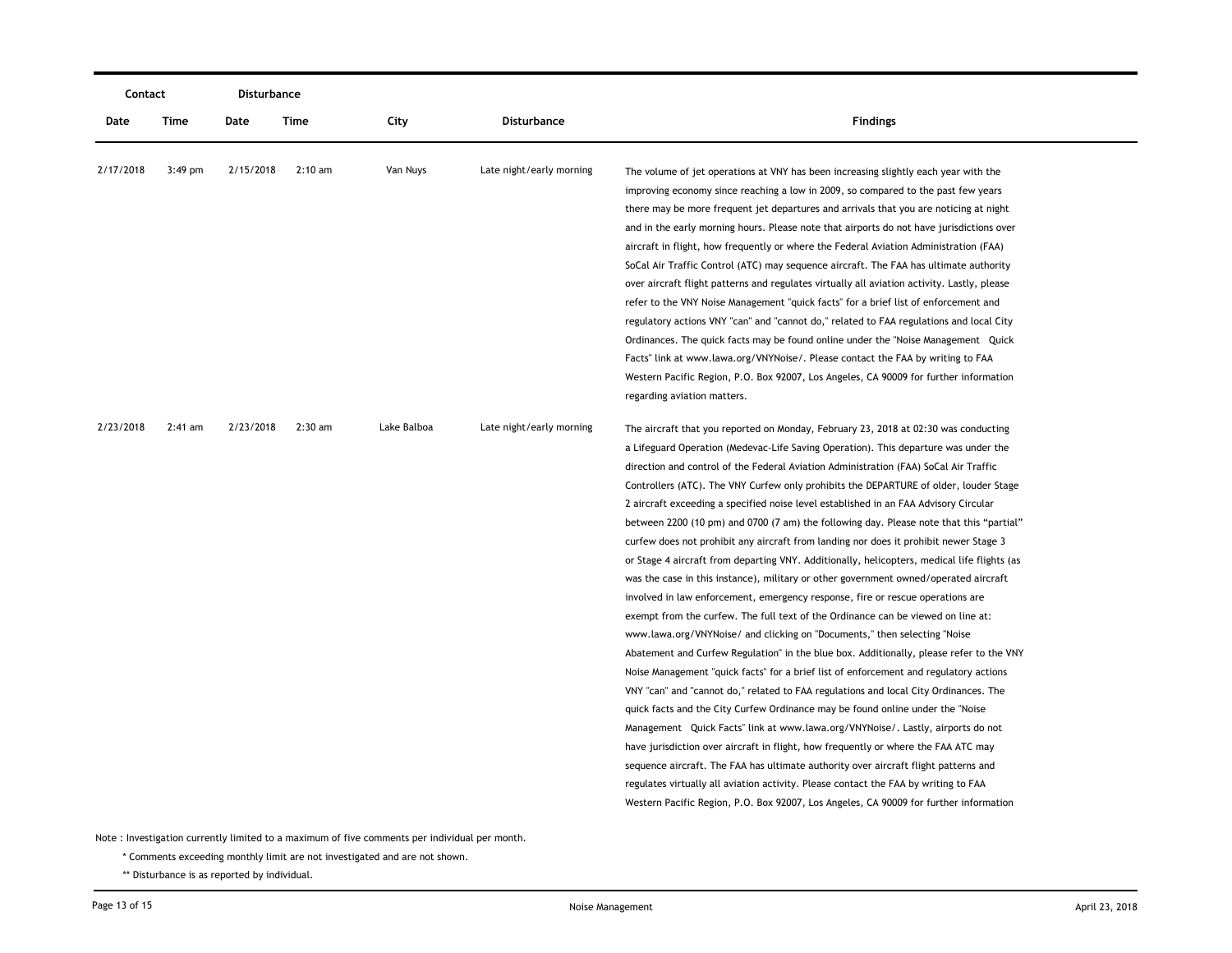| Contact   |           | Disturbance |                   |             |                          |                                                                                                                                                                                                                                                                                                                                                                                                                                                                                                                                                                                                                                                                                                                                                                                                                                                                                                                                                                                                                                                                                                                                                                                                                                                                                                                                                                                                                                                                                                                                                                                                                                                                                                                                                                                                                                                                                                                                 |
|-----------|-----------|-------------|-------------------|-------------|--------------------------|---------------------------------------------------------------------------------------------------------------------------------------------------------------------------------------------------------------------------------------------------------------------------------------------------------------------------------------------------------------------------------------------------------------------------------------------------------------------------------------------------------------------------------------------------------------------------------------------------------------------------------------------------------------------------------------------------------------------------------------------------------------------------------------------------------------------------------------------------------------------------------------------------------------------------------------------------------------------------------------------------------------------------------------------------------------------------------------------------------------------------------------------------------------------------------------------------------------------------------------------------------------------------------------------------------------------------------------------------------------------------------------------------------------------------------------------------------------------------------------------------------------------------------------------------------------------------------------------------------------------------------------------------------------------------------------------------------------------------------------------------------------------------------------------------------------------------------------------------------------------------------------------------------------------------------|
| Date      | Time      | Date        | Time              | City        | Disturbance              | <b>Findings</b>                                                                                                                                                                                                                                                                                                                                                                                                                                                                                                                                                                                                                                                                                                                                                                                                                                                                                                                                                                                                                                                                                                                                                                                                                                                                                                                                                                                                                                                                                                                                                                                                                                                                                                                                                                                                                                                                                                                 |
| 2/17/2018 | $3:49$ pm | 2/15/2018   | $2:10 \text{ am}$ | Van Nuys    | Late night/early morning | The volume of jet operations at VNY has been increasing slightly each year with the<br>improving economy since reaching a low in 2009, so compared to the past few years<br>there may be more frequent jet departures and arrivals that you are noticing at night<br>and in the early morning hours. Please note that airports do not have jurisdictions over<br>aircraft in flight, how frequently or where the Federal Aviation Administration (FAA)<br>SoCal Air Traffic Control (ATC) may sequence aircraft. The FAA has ultimate authority<br>over aircraft flight patterns and regulates virtually all aviation activity. Lastly, please<br>refer to the VNY Noise Management "quick facts" for a brief list of enforcement and<br>regulatory actions VNY "can" and "cannot do," related to FAA regulations and local City<br>Ordinances. The quick facts may be found online under the "Noise Management Quick<br>Facts" link at www.lawa.org/VNYNoise/. Please contact the FAA by writing to FAA<br>Western Pacific Region, P.O. Box 92007, Los Angeles, CA 90009 for further information                                                                                                                                                                                                                                                                                                                                                                                                                                                                                                                                                                                                                                                                                                                                                                                                                               |
| 2/23/2018 | $2:41$ am | 2/23/2018   | $2:30$ am         | Lake Balboa | Late night/early morning | regarding aviation matters.<br>The aircraft that you reported on Monday, February 23, 2018 at 02:30 was conducting<br>a Lifeguard Operation (Medevac-Life Saving Operation). This departure was under the<br>direction and control of the Federal Aviation Administration (FAA) SoCal Air Traffic<br>Controllers (ATC). The VNY Curfew only prohibits the DEPARTURE of older, louder Stage<br>2 aircraft exceeding a specified noise level established in an FAA Advisory Circular<br>between 2200 (10 pm) and 0700 (7 am) the following day. Please note that this "partial"<br>curfew does not prohibit any aircraft from landing nor does it prohibit newer Stage 3<br>or Stage 4 aircraft from departing VNY. Additionally, helicopters, medical life flights (as<br>was the case in this instance), military or other government owned/operated aircraft<br>involved in law enforcement, emergency response, fire or rescue operations are<br>exempt from the curfew. The full text of the Ordinance can be viewed on line at:<br>www.lawa.org/VNYNoise/ and clicking on "Documents," then selecting "Noise<br>Abatement and Curfew Regulation" in the blue box. Additionally, please refer to the VNY<br>Noise Management "quick facts" for a brief list of enforcement and regulatory actions<br>VNY "can" and "cannot do," related to FAA regulations and local City Ordinances. The<br>quick facts and the City Curfew Ordinance may be found online under the "Noise"<br>Management Quick Facts" link at www.lawa.org/VNYNoise/. Lastly, airports do not<br>have jurisdiction over aircraft in flight, how frequently or where the FAA ATC may<br>sequence aircraft. The FAA has ultimate authority over aircraft flight patterns and<br>regulates virtually all aviation activity. Please contact the FAA by writing to FAA<br>Western Pacific Region, P.O. Box 92007, Los Angeles, CA 90009 for further information |

\* Comments exceeding monthly limit are not investigated and are not shown.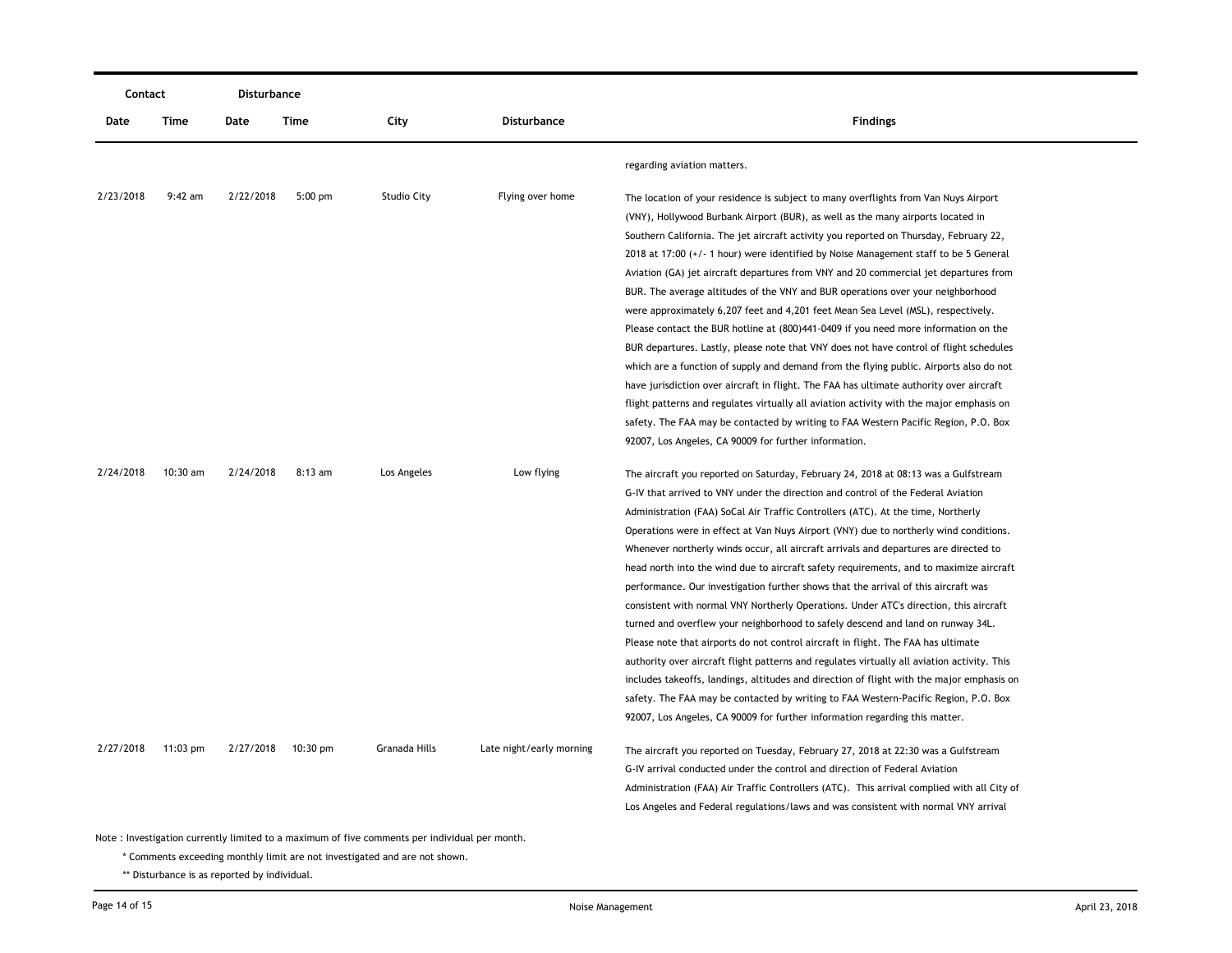| Contact   |                                                                                               | Disturbance |                    |                    |                          |                                                                                             |  |  |
|-----------|-----------------------------------------------------------------------------------------------|-------------|--------------------|--------------------|--------------------------|---------------------------------------------------------------------------------------------|--|--|
| Date      | Time                                                                                          | Date        | Time               | City               | <b>Disturbance</b>       | <b>Findings</b>                                                                             |  |  |
|           |                                                                                               |             |                    |                    |                          | regarding aviation matters.                                                                 |  |  |
| 2/23/2018 | $9:42$ am                                                                                     | 2/22/2018   | $5:00$ pm          | <b>Studio City</b> | Flying over home         | The location of your residence is subject to many overflights from Van Nuys Airport         |  |  |
|           |                                                                                               |             |                    |                    |                          | (VNY), Hollywood Burbank Airport (BUR), as well as the many airports located in             |  |  |
|           |                                                                                               |             |                    |                    |                          | Southern California. The jet aircraft activity you reported on Thursday, February 22,       |  |  |
|           |                                                                                               |             |                    |                    |                          | 2018 at 17:00 (+/- 1 hour) were identified by Noise Management staff to be 5 General        |  |  |
|           |                                                                                               |             |                    |                    |                          | Aviation (GA) jet aircraft departures from VNY and 20 commercial jet departures from        |  |  |
|           |                                                                                               |             |                    |                    |                          | BUR. The average altitudes of the VNY and BUR operations over your neighborhood             |  |  |
|           |                                                                                               |             |                    |                    |                          | were approximately 6,207 feet and 4,201 feet Mean Sea Level (MSL), respectively.            |  |  |
|           |                                                                                               |             |                    |                    |                          | Please contact the BUR hotline at (800)441-0409 if you need more information on the         |  |  |
|           |                                                                                               |             |                    |                    |                          | BUR departures. Lastly, please note that VNY does not have control of flight schedules      |  |  |
|           |                                                                                               |             |                    |                    |                          | which are a function of supply and demand from the flying public. Airports also do not      |  |  |
|           |                                                                                               |             |                    |                    |                          | have jurisdiction over aircraft in flight. The FAA has ultimate authority over aircraft     |  |  |
|           |                                                                                               |             |                    |                    |                          | flight patterns and regulates virtually all aviation activity with the major emphasis on    |  |  |
|           |                                                                                               |             |                    |                    |                          | safety. The FAA may be contacted by writing to FAA Western Pacific Region, P.O. Box         |  |  |
|           |                                                                                               |             |                    |                    |                          | 92007, Los Angeles, CA 90009 for further information.                                       |  |  |
| 2/24/2018 | 10:30 am                                                                                      | 2/24/2018   | 8:13 am            | Los Angeles        | Low flying               | The aircraft you reported on Saturday, February 24, 2018 at 08:13 was a Gulfstream          |  |  |
|           |                                                                                               |             |                    |                    |                          | G-IV that arrived to VNY under the direction and control of the Federal Aviation            |  |  |
|           |                                                                                               |             |                    |                    |                          | Administration (FAA) SoCal Air Traffic Controllers (ATC). At the time, Northerly            |  |  |
|           |                                                                                               |             |                    |                    |                          | Operations were in effect at Van Nuys Airport (VNY) due to northerly wind conditions.       |  |  |
|           |                                                                                               |             |                    |                    |                          | Whenever northerly winds occur, all aircraft arrivals and departures are directed to        |  |  |
|           |                                                                                               |             |                    |                    |                          | head north into the wind due to aircraft safety requirements, and to maximize aircraft      |  |  |
|           |                                                                                               |             |                    |                    |                          | performance. Our investigation further shows that the arrival of this aircraft was          |  |  |
|           |                                                                                               |             |                    |                    |                          | consistent with normal VNY Northerly Operations. Under ATC's direction, this aircraft       |  |  |
|           |                                                                                               |             |                    |                    |                          | turned and overflew your neighborhood to safely descend and land on runway 34L.             |  |  |
|           |                                                                                               |             |                    |                    |                          | Please note that airports do not control aircraft in flight. The FAA has ultimate           |  |  |
|           |                                                                                               |             |                    |                    |                          | authority over aircraft flight patterns and regulates virtually all aviation activity. This |  |  |
|           |                                                                                               |             |                    |                    |                          | includes takeoffs, landings, altitudes and direction of flight with the major emphasis on   |  |  |
|           |                                                                                               |             |                    |                    |                          | safety. The FAA may be contacted by writing to FAA Western-Pacific Region, P.O. Box         |  |  |
|           |                                                                                               |             |                    |                    |                          | 92007, Los Angeles, CA 90009 for further information regarding this matter.                 |  |  |
| 2/27/2018 | $11:03$ pm                                                                                    | 2/27/2018   | $10:30 \text{ pm}$ | Granada Hills      | Late night/early morning | The aircraft you reported on Tuesday, February 27, 2018 at 22:30 was a Gulfstream           |  |  |
|           |                                                                                               |             |                    |                    |                          | G-IV arrival conducted under the control and direction of Federal Aviation                  |  |  |
|           |                                                                                               |             |                    |                    |                          | Administration (FAA) Air Traffic Controllers (ATC). This arrival complied with all City of  |  |  |
|           |                                                                                               |             |                    |                    |                          | Los Angeles and Federal regulations/laws and was consistent with normal VNY arrival         |  |  |
|           | Note: Investigation currently limited to a maximum of five comments per individual per month. |             |                    |                    |                          |                                                                                             |  |  |

\* Comments exceeding monthly limit are not investigated and are not shown.